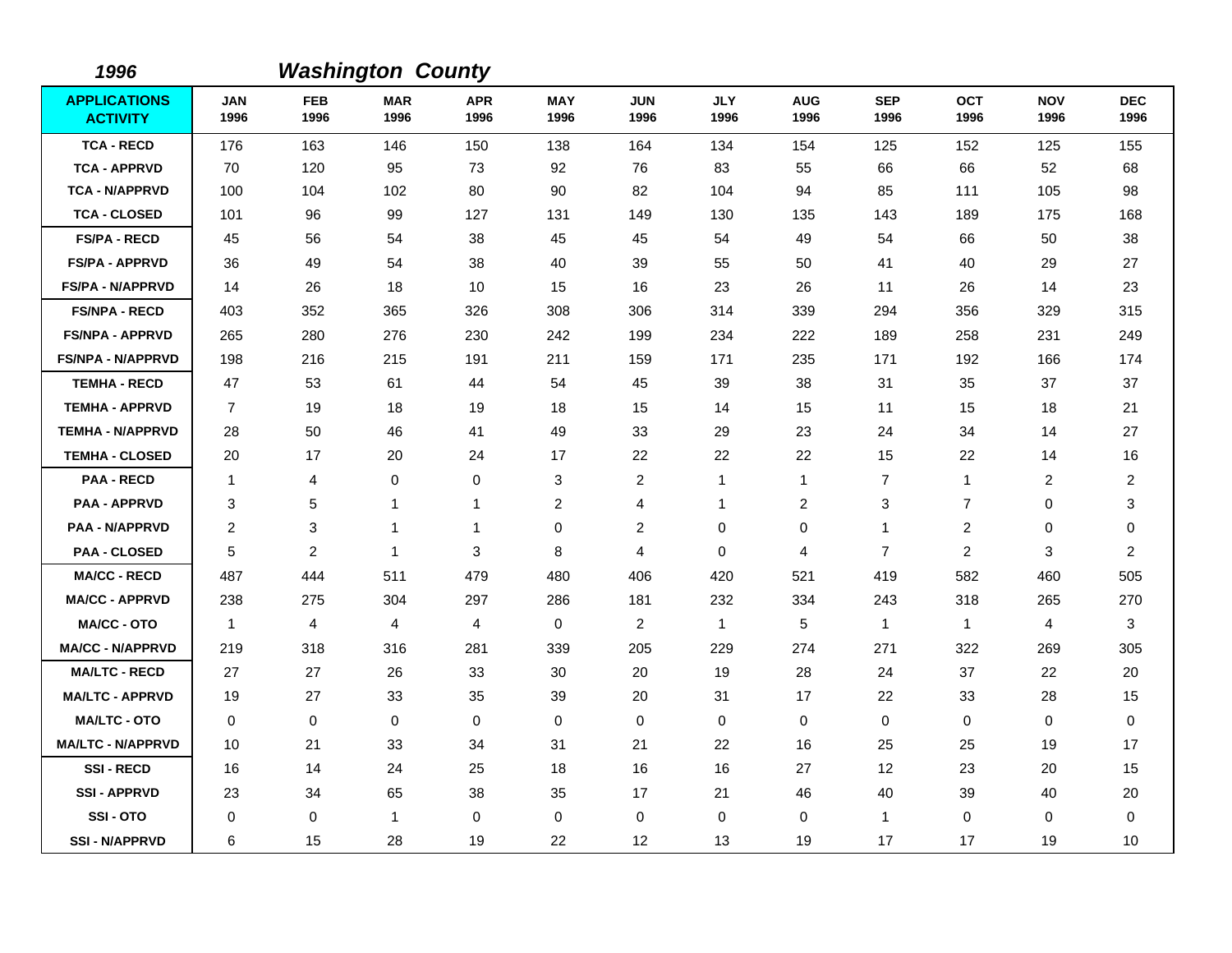| 1996                                   |                    |                           | <b>Washington County</b> |                    |                    |                         |                    |                    |                    |                    |                    |                    |
|----------------------------------------|--------------------|---------------------------|--------------------------|--------------------|--------------------|-------------------------|--------------------|--------------------|--------------------|--------------------|--------------------|--------------------|
| <b>APPLICATIONS</b><br><b>ACTIVITY</b> | <b>JAN</b><br>1996 | <b>FEB</b><br>1996        | <b>MAR</b><br>1996       | <b>APR</b><br>1996 | <b>MAY</b><br>1996 | <b>JUN</b><br>1996      | <b>JLY</b><br>1996 | <b>AUG</b><br>1996 | <b>SEP</b><br>1996 | <b>OCT</b><br>1996 | <b>NOV</b><br>1996 | <b>DEC</b><br>1996 |
| <b>TCA - RECD</b>                      | 176                | 163                       | 146                      | 150                | 138                | 164                     | 134                | 154                | 125                | 152                | 125                | 155                |
| <b>TCA - APPRVD</b>                    | 70                 | 120                       | 95                       | 73                 | 92                 | 76                      | 83                 | 55                 | 66                 | 66                 | 52                 | 68                 |
| <b>TCA - N/APPRVD</b>                  | 100                | 104                       | 102                      | 80                 | 90                 | 82                      | 104                | 94                 | 85                 | 111                | 105                | 98                 |
| <b>TCA - CLOSED</b>                    | 101                | 96                        | 99                       | 127                | 131                | 149                     | 130                | 135                | 143                | 189                | 175                | 168                |
| <b>FS/PA - RECD</b>                    | 45                 | 56                        | 54                       | 38                 | 45                 | 45                      | 54                 | 49                 | 54                 | 66                 | 50                 | 38                 |
| <b>FS/PA - APPRVD</b>                  | 36                 | 49                        | 54                       | 38                 | 40                 | 39                      | 55                 | 50                 | 41                 | 40                 | 29                 | 27                 |
| <b>FS/PA - N/APPRVD</b>                | 14                 | 26                        | 18                       | 10                 | 15                 | 16                      | 23                 | 26                 | 11                 | 26                 | 14                 | 23                 |
| <b>FS/NPA - RECD</b>                   | 403                | 352                       | 365                      | 326                | 308                | 306                     | 314                | 339                | 294                | 356                | 329                | 315                |
| <b>FS/NPA - APPRVD</b>                 | 265                | 280                       | 276                      | 230                | 242                | 199                     | 234                | 222                | 189                | 258                | 231                | 249                |
| FS/NPA - N/APPRVD                      | 198                | 216                       | 215                      | 191                | 211                | 159                     | 171                | 235                | 171                | 192                | 166                | 174                |
| <b>TEMHA - RECD</b>                    | 47                 | 53                        | 61                       | 44                 | 54                 | 45                      | 39                 | 38                 | 31                 | 35                 | 37                 | 37                 |
| <b>TEMHA - APPRVD</b>                  | $\overline{7}$     | 19                        | 18                       | 19                 | 18                 | 15                      | 14                 | 15                 | 11                 | 15                 | 18                 | 21                 |
| <b>TEMHA - N/APPRVD</b>                | 28                 | 50                        | 46                       | 41                 | 49                 | 33                      | 29                 | 23                 | 24                 | 34                 | 14                 | 27                 |
| <b>TEMHA - CLOSED</b>                  | 20                 | 17                        | 20                       | 24                 | 17                 | 22                      | 22                 | 22                 | 15                 | 22                 | 14                 | 16                 |
| <b>PAA - RECD</b>                      | -1                 | 4                         | 0                        | 0                  | 3                  | $\overline{c}$          | $\mathbf{1}$       | $\mathbf{1}$       | $\overline{7}$     | $\mathbf{1}$       | 2                  | 2                  |
| <b>PAA - APPRVD</b>                    | 3                  | 5                         | $\mathbf{1}$             | 1                  | $\overline{c}$     | 4                       | 1                  | $\boldsymbol{2}$   | 3                  | $\overline{7}$     | 0                  | 3                  |
| <b>PAA - N/APPRVD</b>                  | $\overline{c}$     | $\ensuremath{\mathsf{3}}$ | 1                        | 1                  | 0                  | $\overline{\mathbf{c}}$ | 0                  | 0                  | 1                  | $\overline{c}$     | 0                  | 0                  |
| <b>PAA - CLOSED</b>                    | 5                  | 2                         | $\mathbf{1}$             | 3                  | 8                  | 4                       | $\mathbf 0$        | 4                  | $\overline{7}$     | $\overline{2}$     | 3                  | 2                  |
| <b>MA/CC - RECD</b>                    | 487                | 444                       | 511                      | 479                | 480                | 406                     | 420                | 521                | 419                | 582                | 460                | 505                |
| <b>MA/CC - APPRVD</b>                  | 238                | 275                       | 304                      | 297                | 286                | 181                     | 232                | 334                | 243                | 318                | 265                | 270                |
| <b>MA/CC - OTO</b>                     | $\mathbf{1}$       | 4                         | $\overline{4}$           | 4                  | $\mathbf 0$        | 2                       | $\mathbf{1}$       | 5                  | $\mathbf{1}$       | $\mathbf{1}$       | $\overline{4}$     | 3                  |
| <b>MA/CC - N/APPRVD</b>                | 219                | 318                       | 316                      | 281                | 339                | 205                     | 229                | 274                | 271                | 322                | 269                | 305                |
| <b>MA/LTC - RECD</b>                   | 27                 | 27                        | 26                       | 33                 | 30                 | 20                      | 19                 | 28                 | 24                 | 37                 | 22                 | 20                 |
| <b>MA/LTC - APPRVD</b>                 | 19                 | 27                        | 33                       | 35                 | 39                 | 20                      | 31                 | 17                 | 22                 | 33                 | 28                 | 15                 |
| <b>MA/LTC - OTO</b>                    | $\mathbf 0$        | 0                         | $\mathbf 0$              | $\mathbf 0$        | $\mathbf 0$        | $\mathbf 0$             | $\mathbf 0$        | 0                  | $\mathbf 0$        | 0                  | $\mathbf 0$        | 0                  |
| <b>MA/LTC - N/APPRVD</b>               | 10                 | 21                        | 33                       | 34                 | 31                 | 21                      | 22                 | 16                 | 25                 | 25                 | 19                 | 17                 |
| <b>SSI-RECD</b>                        | 16                 | 14                        | 24                       | 25                 | 18                 | 16                      | 16                 | 27                 | 12                 | 23                 | 20                 | 15                 |
| <b>SSI-APPRVD</b>                      | 23                 | 34                        | 65                       | 38                 | 35                 | 17                      | 21                 | 46                 | 40                 | 39                 | 40                 | 20                 |
| SSI-OTO                                | 0                  | 0                         | $\mathbf{1}$             | $\mathbf 0$        | 0                  | 0                       | $\mathbf 0$        | 0                  | $\mathbf{1}$       | 0                  | 0                  | 0                  |
| <b>SSI - N/APPRVD</b>                  | 6                  | 15                        | 28                       | 19                 | 22                 | 12                      | 13                 | 19                 | 17                 | 17                 | 19                 | 10                 |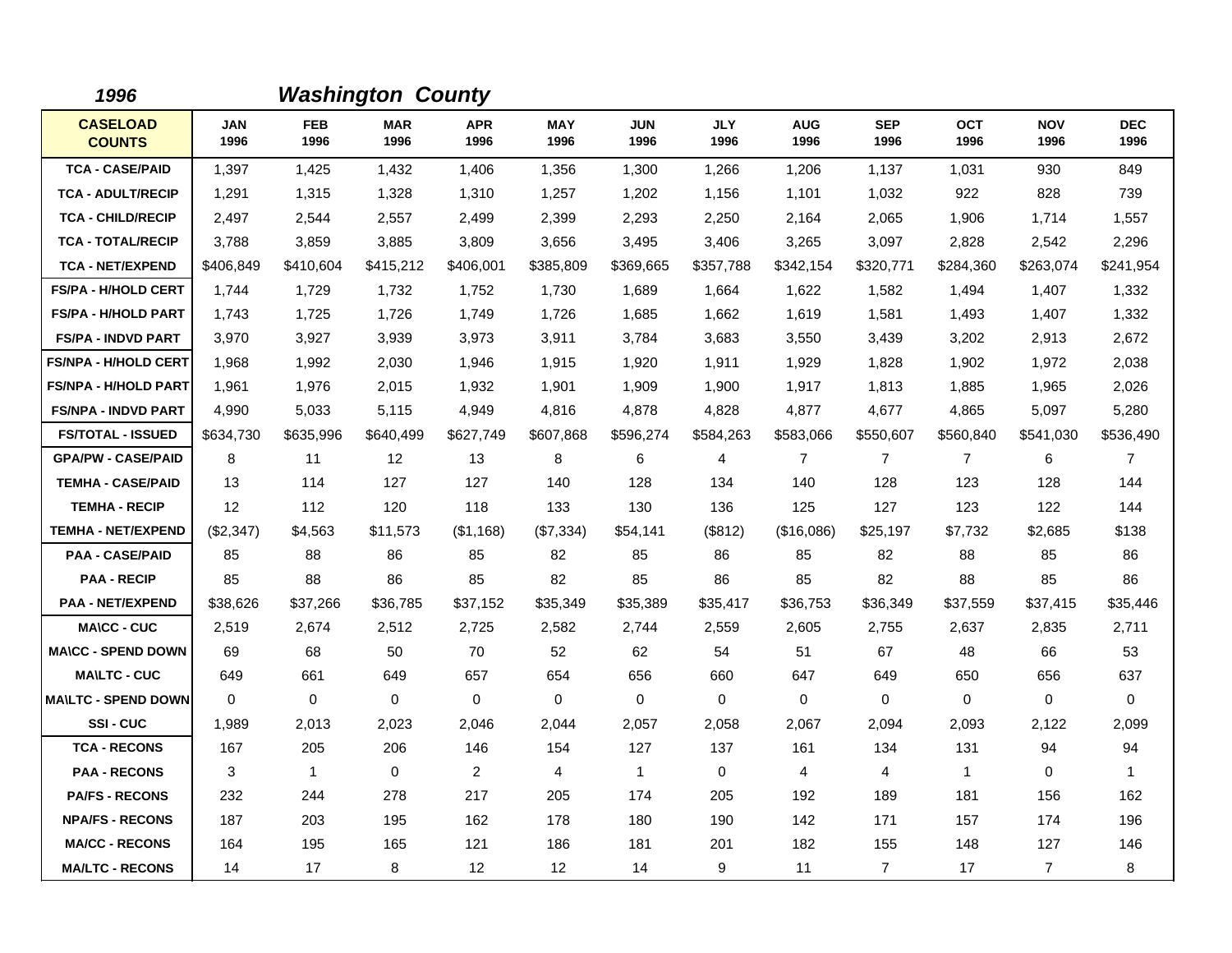| 1996                             |             |                    | <b>Washington County</b> |                    |                    |                    |                    |                    |                    |                    |                    |                    |
|----------------------------------|-------------|--------------------|--------------------------|--------------------|--------------------|--------------------|--------------------|--------------------|--------------------|--------------------|--------------------|--------------------|
| <b>CASELOAD</b><br><b>COUNTS</b> | JAN<br>1996 | <b>FEB</b><br>1996 | <b>MAR</b><br>1996       | <b>APR</b><br>1996 | <b>MAY</b><br>1996 | <b>JUN</b><br>1996 | <b>JLY</b><br>1996 | <b>AUG</b><br>1996 | <b>SEP</b><br>1996 | <b>OCT</b><br>1996 | <b>NOV</b><br>1996 | <b>DEC</b><br>1996 |
| <b>TCA - CASE/PAID</b>           | 1,397       | 1,425              | 1,432                    | 1,406              | 1,356              | 1.300              | 1,266              | 1,206              | 1,137              | 1,031              | 930                | 849                |
| <b>TCA - ADULT/RECIP</b>         | 1,291       | 1.315              | 1,328                    | 1,310              | 1,257              | 1,202              | 1,156              | 1,101              | 1,032              | 922                | 828                | 739                |
| <b>TCA - CHILD/RECIP</b>         | 2,497       | 2,544              | 2,557                    | 2,499              | 2,399              | 2,293              | 2,250              | 2,164              | 2,065              | 1,906              | 1,714              | 1,557              |
| <b>TCA - TOTAL/RECIP</b>         | 3,788       | 3,859              | 3,885                    | 3,809              | 3,656              | 3,495              | 3,406              | 3,265              | 3,097              | 2,828              | 2,542              | 2,296              |
| <b>TCA - NET/EXPEND</b>          | \$406,849   | \$410,604          | \$415,212                | \$406,001          | \$385,809          | \$369,665          | \$357,788          | \$342,154          | \$320,771          | \$284,360          | \$263,074          | \$241,954          |
| FS/PA - H/HOLD CERT              | 1,744       | 1,729              | 1,732                    | 1,752              | 1,730              | 1,689              | 1,664              | 1,622              | 1,582              | 1,494              | 1,407              | 1,332              |
| <b>FS/PA - H/HOLD PART</b>       | 1,743       | 1,725              | 1,726                    | 1,749              | 1,726              | 1,685              | 1,662              | 1,619              | 1,581              | 1,493              | 1,407              | 1,332              |
| <b>FS/PA - INDVD PART</b>        | 3,970       | 3,927              | 3,939                    | 3,973              | 3,911              | 3,784              | 3,683              | 3,550              | 3,439              | 3,202              | 2,913              | 2,672              |
| <b>FS/NPA - H/HOLD CERT</b>      | 1,968       | 1,992              | 2,030                    | 1,946              | 1,915              | 1,920              | 1,911              | 1,929              | 1,828              | 1,902              | 1,972              | 2,038              |
| <b>FS/NPA - H/HOLD PART</b>      | 1,961       | 1,976              | 2,015                    | 1,932              | 1,901              | 1,909              | 1,900              | 1,917              | 1,813              | 1,885              | 1,965              | 2,026              |
| <b>FS/NPA - INDVD PART</b>       | 4,990       | 5,033              | 5,115                    | 4,949              | 4,816              | 4,878              | 4,828              | 4,877              | 4,677              | 4,865              | 5,097              | 5,280              |
| <b>FS/TOTAL - ISSUED</b>         | \$634,730   | \$635,996          | \$640,499                | \$627,749          | \$607,868          | \$596,274          | \$584,263          | \$583,066          | \$550,607          | \$560,840          | \$541,030          | \$536,490          |
| <b>GPA/PW - CASE/PAID</b>        | 8           | 11                 | 12                       | 13                 | 8                  | 6                  | 4                  | $\overline{7}$     | $\overline{7}$     | $\overline{7}$     | 6                  | $\overline{7}$     |
| <b>TEMHA - CASE/PAID</b>         | 13          | 114                | 127                      | 127                | 140                | 128                | 134                | 140                | 128                | 123                | 128                | 144                |
| <b>TEMHA - RECIP</b>             | 12          | 112                | 120                      | 118                | 133                | 130                | 136                | 125                | 127                | 123                | 122                | 144                |
| <b>TEMHA - NET/EXPEND</b>        | (\$2,347)   | \$4,563            | \$11,573                 | $($ \$1,168)       | (\$7,334)          | \$54,141           | (\$812)            | (\$16,086)         | \$25,197           | \$7,732            | \$2,685            | \$138              |
| <b>PAA - CASE/PAID</b>           | 85          | 88                 | 86                       | 85                 | 82                 | 85                 | 86                 | 85                 | 82                 | 88                 | 85                 | 86                 |
| <b>PAA - RECIP</b>               | 85          | 88                 | 86                       | 85                 | 82                 | 85                 | 86                 | 85                 | 82                 | 88                 | 85                 | 86                 |
| <b>PAA - NET/EXPEND</b>          | \$38,626    | \$37,266           | \$36,785                 | \$37,152           | \$35,349           | \$35,389           | \$35,417           | \$36,753           | \$36,349           | \$37,559           | \$37,415           | \$35,446           |
| <b>MA\CC - CUC</b>               | 2,519       | 2,674              | 2,512                    | 2,725              | 2,582              | 2,744              | 2,559              | 2,605              | 2,755              | 2,637              | 2,835              | 2,711              |
| <b>MA\CC - SPEND DOWN</b>        | 69          | 68                 | 50                       | 70                 | 52                 | 62                 | 54                 | 51                 | 67                 | 48                 | 66                 | 53                 |
| <b>MA\LTC - CUC</b>              | 649         | 661                | 649                      | 657                | 654                | 656                | 660                | 647                | 649                | 650                | 656                | 637                |
| <b>MA\LTC - SPEND DOWN</b>       | $\mathbf 0$ | 0                  | $\mathbf 0$              | $\mathbf 0$        | $\mathbf 0$        | $\mathbf 0$        | $\mathbf 0$        | 0                  | 0                  | 0                  | 0                  | 0                  |
| SSI-CUC                          | 1,989       | 2,013              | 2,023                    | 2,046              | 2,044              | 2,057              | 2,058              | 2,067              | 2,094              | 2,093              | 2,122              | 2,099              |
| <b>TCA - RECONS</b>              | 167         | 205                | 206                      | 146                | 154                | 127                | 137                | 161                | 134                | 131                | 94                 | 94                 |
| <b>PAA - RECONS</b>              | 3           | $\mathbf{1}$       | $\mathbf 0$              | $\overline{2}$     | 4                  | $\mathbf{1}$       | $\mathbf 0$        | 4                  | $\overline{4}$     | $\mathbf{1}$       | 0                  | $\mathbf 1$        |
| <b>PA/FS - RECONS</b>            | 232         | 244                | 278                      | 217                | 205                | 174                | 205                | 192                | 189                | 181                | 156                | 162                |
| <b>NPA/FS - RECONS</b>           | 187         | 203                | 195                      | 162                | 178                | 180                | 190                | 142                | 171                | 157                | 174                | 196                |
| <b>MA/CC - RECONS</b>            | 164         | 195                | 165                      | 121                | 186                | 181                | 201                | 182                | 155                | 148                | 127                | 146                |
| <b>MA/LTC - RECONS</b>           | 14          | 17                 | 8                        | 12 <sup>2</sup>    | 12                 | 14                 | 9                  | 11                 | $\overline{7}$     | 17                 | $\overline{7}$     | 8                  |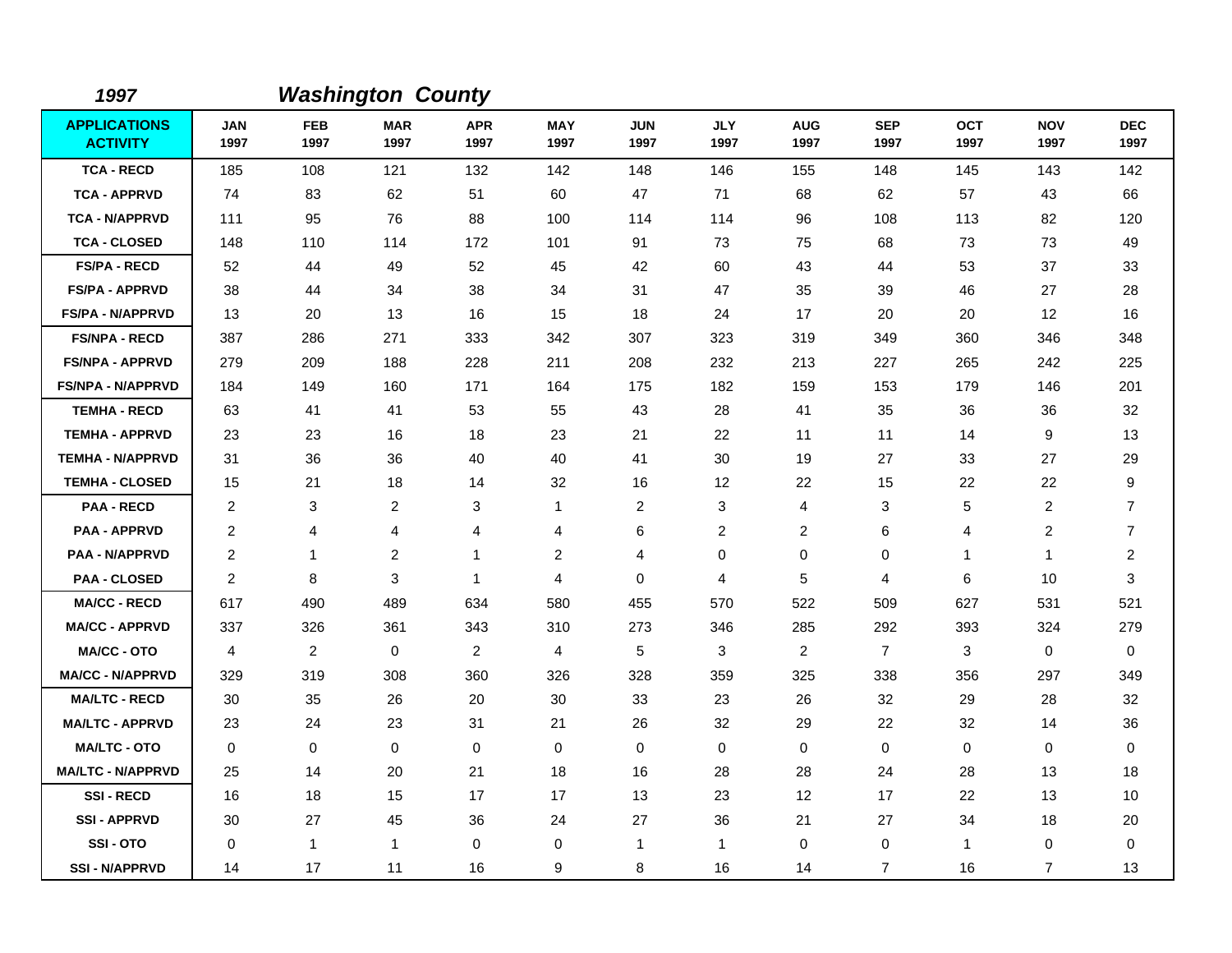| 1997                                   |                    |                    | <b>Washington County</b> |                    |                    |                    |                    |                    |                    |                    |                    |                    |
|----------------------------------------|--------------------|--------------------|--------------------------|--------------------|--------------------|--------------------|--------------------|--------------------|--------------------|--------------------|--------------------|--------------------|
| <b>APPLICATIONS</b><br><b>ACTIVITY</b> | <b>JAN</b><br>1997 | <b>FEB</b><br>1997 | <b>MAR</b><br>1997       | <b>APR</b><br>1997 | <b>MAY</b><br>1997 | <b>JUN</b><br>1997 | <b>JLY</b><br>1997 | <b>AUG</b><br>1997 | <b>SEP</b><br>1997 | <b>OCT</b><br>1997 | <b>NOV</b><br>1997 | <b>DEC</b><br>1997 |
| <b>TCA - RECD</b>                      | 185                | 108                | 121                      | 132                | 142                | 148                | 146                | 155                | 148                | 145                | 143                | 142                |
| <b>TCA - APPRVD</b>                    | 74                 | 83                 | 62                       | 51                 | 60                 | 47                 | 71                 | 68                 | 62                 | 57                 | 43                 | 66                 |
| <b>TCA - N/APPRVD</b>                  | 111                | 95                 | 76                       | 88                 | 100                | 114                | 114                | 96                 | 108                | 113                | 82                 | 120                |
| <b>TCA - CLOSED</b>                    | 148                | 110                | 114                      | 172                | 101                | 91                 | 73                 | 75                 | 68                 | 73                 | 73                 | 49                 |
| <b>FS/PA - RECD</b>                    | 52                 | 44                 | 49                       | 52                 | 45                 | 42                 | 60                 | 43                 | 44                 | 53                 | 37                 | 33                 |
| <b>FS/PA - APPRVD</b>                  | 38                 | 44                 | 34                       | 38                 | 34                 | 31                 | 47                 | 35                 | 39                 | 46                 | 27                 | 28                 |
| <b>FS/PA - N/APPRVD</b>                | 13                 | 20                 | 13                       | 16                 | 15                 | 18                 | 24                 | 17                 | 20                 | 20                 | 12                 | 16                 |
| <b>FS/NPA - RECD</b>                   | 387                | 286                | 271                      | 333                | 342                | 307                | 323                | 319                | 349                | 360                | 346                | 348                |
| <b>FS/NPA - APPRVD</b>                 | 279                | 209                | 188                      | 228                | 211                | 208                | 232                | 213                | 227                | 265                | 242                | 225                |
| <b>FS/NPA - N/APPRVD</b>               | 184                | 149                | 160                      | 171                | 164                | 175                | 182                | 159                | 153                | 179                | 146                | 201                |
| <b>TEMHA - RECD</b>                    | 63                 | 41                 | 41                       | 53                 | 55                 | 43                 | 28                 | 41                 | 35                 | 36                 | 36                 | 32                 |
| <b>TEMHA - APPRVD</b>                  | 23                 | 23                 | 16                       | 18                 | 23                 | 21                 | 22                 | 11                 | 11                 | 14                 | 9                  | 13                 |
| <b>TEMHA - N/APPRVD</b>                | 31                 | 36                 | 36                       | 40                 | 40                 | 41                 | 30                 | 19                 | 27                 | 33                 | 27                 | 29                 |
| <b>TEMHA - CLOSED</b>                  | 15                 | 21                 | 18                       | 14                 | 32                 | 16                 | 12                 | 22                 | 15                 | 22                 | 22                 | 9                  |
| <b>PAA - RECD</b>                      | $\overline{2}$     | 3                  | $\overline{2}$           | 3                  | $\mathbf{1}$       | $\overline{2}$     | 3                  | 4                  | 3                  | 5                  | $\overline{c}$     | 7                  |
| <b>PAA - APPRVD</b>                    | $\overline{2}$     | 4                  | 4                        | 4                  | 4                  | 6                  | $\overline{c}$     | 2                  | 6                  | $\overline{4}$     | $\overline{c}$     | $\overline{7}$     |
| <b>PAA - N/APPRVD</b>                  | 2                  | $\mathbf 1$        | 2                        | $\mathbf 1$        | $\overline{c}$     | $\overline{4}$     | $\mathbf 0$        | $\mathbf 0$        | 0                  | $\mathbf 1$        | $\mathbf{1}$       | $\overline{2}$     |
| <b>PAA - CLOSED</b>                    | 2                  | 8                  | 3                        | $\mathbf{1}$       | 4                  | $\mathbf 0$        | $\overline{4}$     | 5                  | 4                  | 6                  | 10                 | 3                  |
| <b>MA/CC - RECD</b>                    | 617                | 490                | 489                      | 634                | 580                | 455                | 570                | 522                | 509                | 627                | 531                | 521                |
| <b>MA/CC - APPRVD</b>                  | 337                | 326                | 361                      | 343                | 310                | 273                | 346                | 285                | 292                | 393                | 324                | 279                |
| <b>MA/CC - OTO</b>                     | 4                  | $\overline{c}$     | $\mathbf 0$              | $\overline{2}$     | 4                  | 5                  | 3                  | $\overline{2}$     | $\overline{7}$     | 3                  | $\mathbf 0$        | 0                  |
| <b>MA/CC - N/APPRVD</b>                | 329                | 319                | 308                      | 360                | 326                | 328                | 359                | 325                | 338                | 356                | 297                | 349                |
| <b>MA/LTC - RECD</b>                   | 30                 | 35                 | 26                       | 20                 | 30                 | 33                 | 23                 | 26                 | 32                 | 29                 | 28                 | 32                 |
| <b>MA/LTC - APPRVD</b>                 | 23                 | 24                 | 23                       | 31                 | 21                 | 26                 | 32                 | 29                 | 22                 | 32                 | 14                 | 36                 |
| <b>MA/LTC - OTO</b>                    | $\Omega$           | $\mathbf 0$        | $\mathbf 0$              | $\mathbf 0$        | $\pmb{0}$          | $\mathbf 0$        | $\mathbf 0$        | $\pmb{0}$          | $\mathbf 0$        | $\mathbf 0$        | $\mathbf 0$        | $\mathbf 0$        |
| <b>MA/LTC - N/APPRVD</b>               | 25                 | 14                 | 20                       | 21                 | 18                 | 16                 | 28                 | 28                 | 24                 | 28                 | 13                 | 18                 |
| <b>SSI-RECD</b>                        | 16                 | 18                 | 15                       | 17                 | 17                 | 13                 | 23                 | 12                 | 17                 | 22                 | 13                 | 10                 |
| <b>SSI-APPRVD</b>                      | 30                 | 27                 | 45                       | 36                 | 24                 | 27                 | 36                 | 21                 | 27                 | 34                 | 18                 | 20                 |
| SSI-OTO                                | 0                  | $\overline{1}$     | $\mathbf{1}$             | 0                  | 0                  | $\mathbf 1$        | $\mathbf{1}$       | 0                  | 0                  | $\mathbf{1}$       | 0                  | 0                  |
| <b>SSI - N/APPRVD</b>                  | 14                 | 17                 | 11                       | 16                 | 9                  | 8                  | 16                 | 14                 | $\overline{7}$     | 16                 | $\overline{7}$     | 13                 |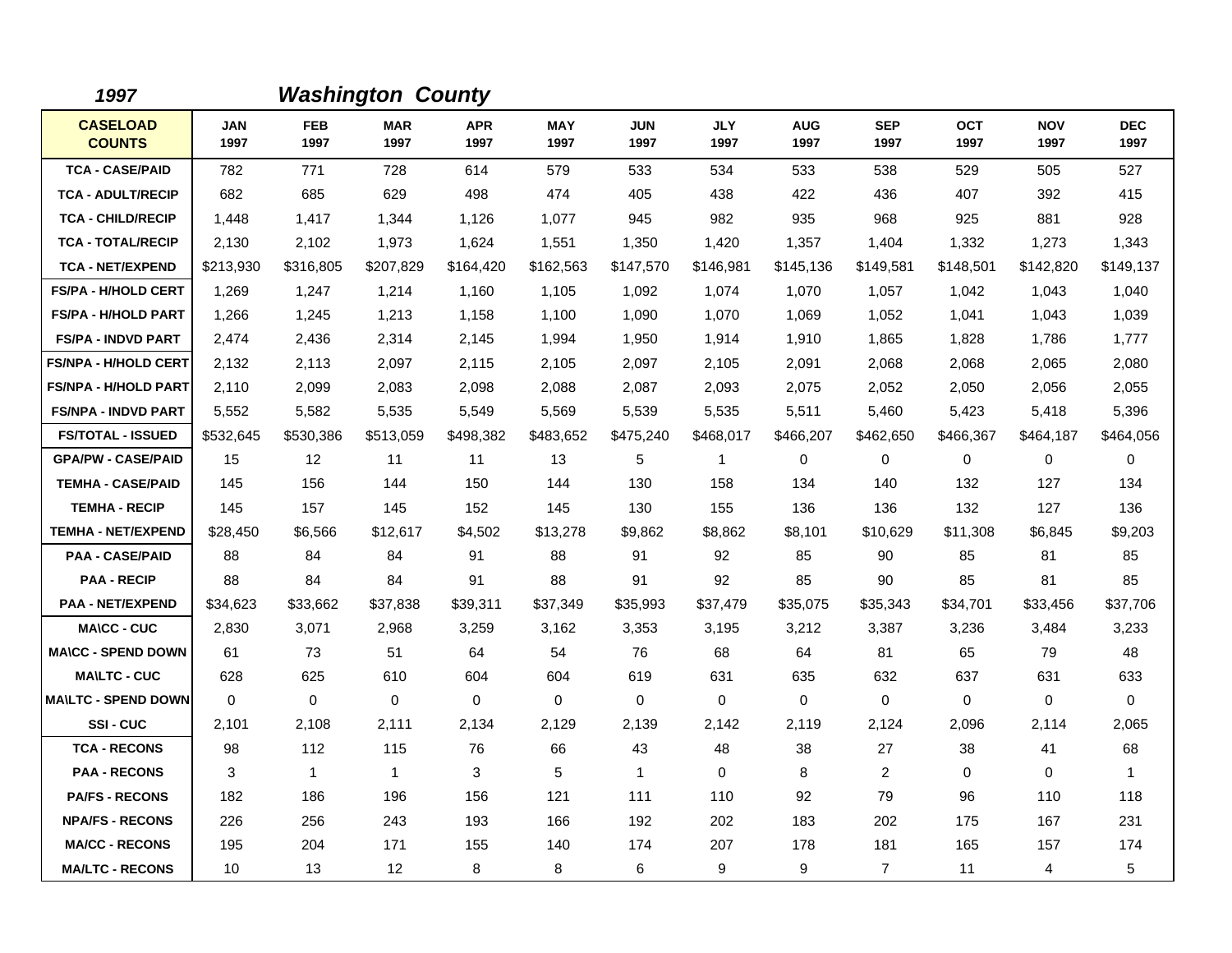| 1997                             |                    |                    | <b>Washington County</b> |                    |                    |                    |                    |                    |                    |                    |                    |                    |
|----------------------------------|--------------------|--------------------|--------------------------|--------------------|--------------------|--------------------|--------------------|--------------------|--------------------|--------------------|--------------------|--------------------|
| <b>CASELOAD</b><br><b>COUNTS</b> | <b>JAN</b><br>1997 | <b>FEB</b><br>1997 | <b>MAR</b><br>1997       | <b>APR</b><br>1997 | <b>MAY</b><br>1997 | <b>JUN</b><br>1997 | <b>JLY</b><br>1997 | <b>AUG</b><br>1997 | <b>SEP</b><br>1997 | <b>OCT</b><br>1997 | <b>NOV</b><br>1997 | <b>DEC</b><br>1997 |
| <b>TCA - CASE/PAID</b>           | 782                | 771                | 728                      | 614                | 579                | 533                | 534                | 533                | 538                | 529                | 505                | 527                |
| <b>TCA - ADULT/RECIP</b>         | 682                | 685                | 629                      | 498                | 474                | 405                | 438                | 422                | 436                | 407                | 392                | 415                |
| <b>TCA - CHILD/RECIP</b>         | 1,448              | 1,417              | 1,344                    | 1,126              | 1.077              | 945                | 982                | 935                | 968                | 925                | 881                | 928                |
| <b>TCA - TOTAL/RECIP</b>         | 2,130              | 2,102              | 1,973                    | 1,624              | 1,551              | 1,350              | 1,420              | 1,357              | 1,404              | 1,332              | 1,273              | 1,343              |
| <b>TCA - NET/EXPEND</b>          | \$213,930          | \$316,805          | \$207,829                | \$164,420          | \$162,563          | \$147,570          | \$146,981          | \$145,136          | \$149,581          | \$148,501          | \$142,820          | \$149,137          |
| <b>FS/PA - H/HOLD CERT</b>       | 1,269              | 1,247              | 1,214                    | 1,160              | 1,105              | 1,092              | 1,074              | 1,070              | 1,057              | 1,042              | 1,043              | 1,040              |
| <b>FS/PA - H/HOLD PART</b>       | 1,266              | 1,245              | 1,213                    | 1,158              | 1,100              | 1,090              | 1,070              | 1,069              | 1,052              | 1,041              | 1,043              | 1,039              |
| <b>FS/PA - INDVD PART</b>        | 2,474              | 2,436              | 2,314                    | 2,145              | 1,994              | 1,950              | 1,914              | 1,910              | 1,865              | 1,828              | 1,786              | 1,777              |
| <b>FS/NPA - H/HOLD CERT</b>      | 2,132              | 2,113              | 2,097                    | 2,115              | 2,105              | 2,097              | 2,105              | 2,091              | 2,068              | 2,068              | 2,065              | 2,080              |
| <b>FS/NPA - H/HOLD PART</b>      | 2,110              | 2,099              | 2,083                    | 2,098              | 2,088              | 2,087              | 2,093              | 2,075              | 2,052              | 2,050              | 2,056              | 2,055              |
| <b>FS/NPA - INDVD PART</b>       | 5,552              | 5,582              | 5,535                    | 5,549              | 5,569              | 5,539              | 5,535              | 5,511              | 5,460              | 5,423              | 5,418              | 5,396              |
| <b>FS/TOTAL - ISSUED</b>         | \$532,645          | \$530,386          | \$513,059                | \$498,382          | \$483,652          | \$475,240          | \$468,017          | \$466.207          | \$462,650          | \$466,367          | \$464,187          | \$464,056          |
| <b>GPA/PW - CASE/PAID</b>        | 15                 | 12 <sup>°</sup>    | 11                       | 11                 | 13                 | 5                  | 1                  | 0                  | $\mathbf 0$        | 0                  | 0                  | $\mathbf 0$        |
| <b>TEMHA - CASE/PAID</b>         | 145                | 156                | 144                      | 150                | 144                | 130                | 158                | 134                | 140                | 132                | 127                | 134                |
| <b>TEMHA - RECIP</b>             | 145                | 157                | 145                      | 152                | 145                | 130                | 155                | 136                | 136                | 132                | 127                | 136                |
| <b>TEMHA - NET/EXPEND</b>        | \$28,450           | \$6,566            | \$12,617                 | \$4,502            | \$13,278           | \$9,862            | \$8,862            | \$8,101            | \$10,629           | \$11,308           | \$6,845            | \$9,203            |
| <b>PAA - CASE/PAID</b>           | 88                 | 84                 | 84                       | 91                 | 88                 | 91                 | 92                 | 85                 | 90                 | 85                 | 81                 | 85                 |
| <b>PAA - RECIP</b>               | 88                 | 84                 | 84                       | 91                 | 88                 | 91                 | 92                 | 85                 | 90                 | 85                 | 81                 | 85                 |
| <b>PAA - NET/EXPEND</b>          | \$34,623           | \$33,662           | \$37,838                 | \$39,311           | \$37,349           | \$35,993           | \$37,479           | \$35,075           | \$35,343           | \$34,701           | \$33,456           | \$37,706           |
| <b>MA\CC - CUC</b>               | 2,830              | 3,071              | 2,968                    | 3,259              | 3,162              | 3,353              | 3,195              | 3,212              | 3,387              | 3,236              | 3,484              | 3,233              |
| <b>MA\CC - SPEND DOWN</b>        | 61                 | 73                 | 51                       | 64                 | 54                 | 76                 | 68                 | 64                 | 81                 | 65                 | 79                 | 48                 |
| <b>MA\LTC - CUC</b>              | 628                | 625                | 610                      | 604                | 604                | 619                | 631                | 635                | 632                | 637                | 631                | 633                |
| <b>MAILTC - SPEND DOWN</b>       | $\mathbf 0$        | $\mathbf 0$        | $\mathbf 0$              | 0                  | 0                  | $\mathbf 0$        | 0                  | $\mathbf 0$        | $\mathbf 0$        | 0                  | 0                  | 0                  |
| SSI-CUC                          | 2,101              | 2,108              | 2,111                    | 2,134              | 2,129              | 2,139              | 2,142              | 2,119              | 2,124              | 2,096              | 2,114              | 2,065              |
| <b>TCA - RECONS</b>              | 98                 | 112                | 115                      | 76                 | 66                 | 43                 | 48                 | 38                 | 27                 | 38                 | 41                 | 68                 |
| <b>PAA - RECONS</b>              | 3                  | $\mathbf{1}$       | $\mathbf{1}$             | 3                  | 5                  | $\mathbf{1}$       | $\Omega$           | 8                  | 2                  | $\Omega$           | $\Omega$           | $\mathbf{1}$       |
| <b>PA/FS - RECONS</b>            | 182                | 186                | 196                      | 156                | 121                | 111                | 110                | 92                 | 79                 | 96                 | 110                | 118                |
| <b>NPA/FS - RECONS</b>           | 226                | 256                | 243                      | 193                | 166                | 192                | 202                | 183                | 202                | 175                | 167                | 231                |
| <b>MA/CC - RECONS</b>            | 195                | 204                | 171                      | 155                | 140                | 174                | 207                | 178                | 181                | 165                | 157                | 174                |
| <b>MA/LTC - RECONS</b>           | 10                 | 13                 | $12 \overline{ }$        | 8                  | 8                  | 6                  | 9                  | 9                  | $\overline{7}$     | 11                 | 4                  | $\sqrt{5}$         |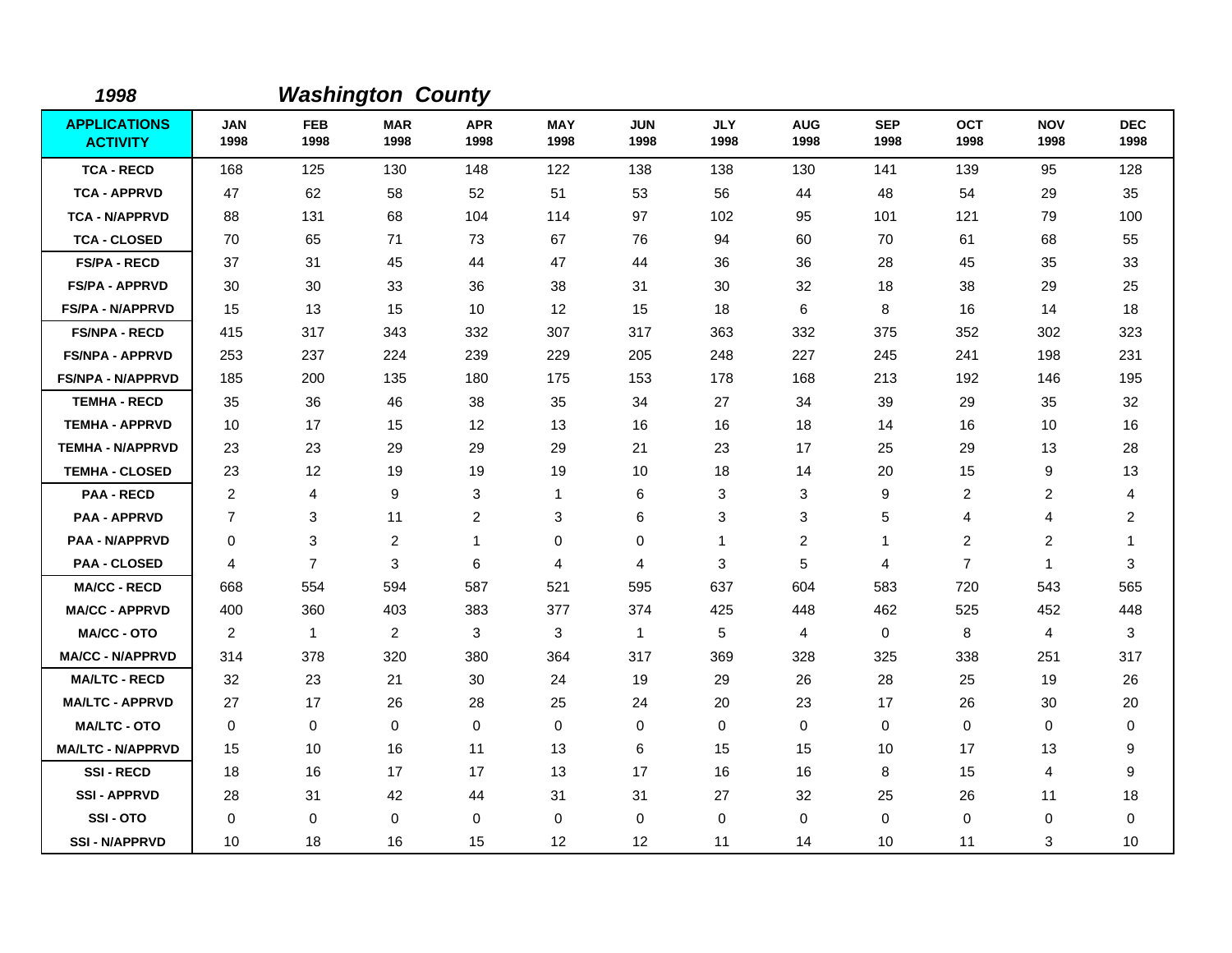| 1998                                   |                    |                    | <b>Washington County</b> |                    |                    |                    |                    |                    |                    |                    |                    |                         |
|----------------------------------------|--------------------|--------------------|--------------------------|--------------------|--------------------|--------------------|--------------------|--------------------|--------------------|--------------------|--------------------|-------------------------|
| <b>APPLICATIONS</b><br><b>ACTIVITY</b> | <b>JAN</b><br>1998 | <b>FEB</b><br>1998 | <b>MAR</b><br>1998       | <b>APR</b><br>1998 | <b>MAY</b><br>1998 | <b>JUN</b><br>1998 | <b>JLY</b><br>1998 | <b>AUG</b><br>1998 | <b>SEP</b><br>1998 | <b>OCT</b><br>1998 | <b>NOV</b><br>1998 | <b>DEC</b><br>1998      |
| <b>TCA - RECD</b>                      | 168                | 125                | 130                      | 148                | 122                | 138                | 138                | 130                | 141                | 139                | 95                 | 128                     |
| <b>TCA - APPRVD</b>                    | 47                 | 62                 | 58                       | 52                 | 51                 | 53                 | 56                 | 44                 | 48                 | 54                 | 29                 | 35                      |
| <b>TCA - N/APPRVD</b>                  | 88                 | 131                | 68                       | 104                | 114                | 97                 | 102                | 95                 | 101                | 121                | 79                 | 100                     |
| <b>TCA - CLOSED</b>                    | 70                 | 65                 | 71                       | 73                 | 67                 | 76                 | 94                 | 60                 | 70                 | 61                 | 68                 | 55                      |
| <b>FS/PA - RECD</b>                    | 37                 | 31                 | 45                       | 44                 | 47                 | 44                 | 36                 | 36                 | 28                 | 45                 | 35                 | 33                      |
| <b>FS/PA - APPRVD</b>                  | 30                 | 30                 | 33                       | 36                 | 38                 | 31                 | 30                 | 32                 | 18                 | 38                 | 29                 | 25                      |
| FS/PA - N/APPRVD                       | 15                 | 13                 | 15                       | 10                 | 12                 | 15                 | 18                 | 6                  | 8                  | 16                 | 14                 | 18                      |
| <b>FS/NPA - RECD</b>                   | 415                | 317                | 343                      | 332                | 307                | 317                | 363                | 332                | 375                | 352                | 302                | 323                     |
| <b>FS/NPA - APPRVD</b>                 | 253                | 237                | 224                      | 239                | 229                | 205                | 248                | 227                | 245                | 241                | 198                | 231                     |
| <b>FS/NPA - N/APPRVD</b>               | 185                | 200                | 135                      | 180                | 175                | 153                | 178                | 168                | 213                | 192                | 146                | 195                     |
| <b>TEMHA - RECD</b>                    | 35                 | 36                 | 46                       | 38                 | 35                 | 34                 | 27                 | 34                 | 39                 | 29                 | 35                 | 32                      |
| <b>TEMHA - APPRVD</b>                  | 10                 | 17                 | 15                       | 12                 | 13                 | 16                 | 16                 | 18                 | 14                 | 16                 | 10                 | 16                      |
| <b>TEMHA - N/APPRVD</b>                | 23                 | 23                 | 29                       | 29                 | 29                 | 21                 | 23                 | 17                 | 25                 | 29                 | 13                 | 28                      |
| <b>TEMHA - CLOSED</b>                  | 23                 | 12                 | 19                       | 19                 | 19                 | 10                 | 18                 | 14                 | 20                 | 15                 | 9                  | 13                      |
| <b>PAA - RECD</b>                      | $\overline{2}$     | 4                  | 9                        | 3                  | 1                  | 6                  | 3                  | 3                  | 9                  | 2                  | 2                  | 4                       |
| <b>PAA - APPRVD</b>                    | $\overline{7}$     | 3                  | 11                       | $\overline{c}$     | 3                  | 6                  | 3                  | 3                  | 5                  | 4                  | 4                  | $\overline{\mathbf{c}}$ |
| <b>PAA - N/APPRVD</b>                  | $\mathbf 0$        | 3                  | $\overline{2}$           | $\mathbf{1}$       | 0                  | 0                  | $\mathbf{1}$       | 2                  | $\mathbf{1}$       | $\overline{2}$     | $\overline{2}$     | $\mathbf{1}$            |
| <b>PAA - CLOSED</b>                    | 4                  | $\overline{7}$     | 3                        | 6                  | 4                  | 4                  | 3                  | 5                  | 4                  | $\overline{7}$     | $\mathbf{1}$       | 3                       |
| <b>MA/CC - RECD</b>                    | 668                | 554                | 594                      | 587                | 521                | 595                | 637                | 604                | 583                | 720                | 543                | 565                     |
| <b>MA/CC - APPRVD</b>                  | 400                | 360                | 403                      | 383                | 377                | 374                | 425                | 448                | 462                | 525                | 452                | 448                     |
| <b>MA/CC - OTO</b>                     | $\overline{2}$     | $\mathbf{1}$       | 2                        | 3                  | 3                  | $\mathbf{1}$       | 5                  | $\overline{4}$     | $\mathbf 0$        | 8                  | $\overline{4}$     | 3                       |
| <b>MA/CC - N/APPRVD</b>                | 314                | 378                | 320                      | 380                | 364                | 317                | 369                | 328                | 325                | 338                | 251                | 317                     |
| <b>MA/LTC - RECD</b>                   | 32                 | 23                 | 21                       | 30                 | 24                 | 19                 | 29                 | 26                 | 28                 | 25                 | 19                 | 26                      |
| <b>MA/LTC - APPRVD</b>                 | 27                 | 17                 | 26                       | 28                 | 25                 | 24                 | 20                 | 23                 | 17                 | 26                 | 30                 | 20                      |
| <b>MA/LTC - OTO</b>                    | $\mathbf 0$        | 0                  | $\mathbf 0$              | $\mathbf 0$        | 0                  | $\mathbf 0$        | 0                  | $\mathbf 0$        | $\mathbf 0$        | 0                  | 0                  | 0                       |
| <b>MA/LTC - N/APPRVD</b>               | 15                 | 10                 | 16                       | 11                 | 13                 | 6                  | 15                 | 15                 | 10                 | 17                 | 13                 | 9                       |
| <b>SSI-RECD</b>                        | 18                 | 16                 | 17                       | 17                 | 13                 | 17                 | 16                 | 16                 | 8                  | 15                 | 4                  | 9                       |
| <b>SSI-APPRVD</b>                      | 28                 | 31                 | 42                       | 44                 | 31                 | 31                 | 27                 | 32                 | 25                 | 26                 | 11                 | 18                      |
| SSI-OTO                                | 0                  | 0                  | $\mathbf 0$              | $\mathbf 0$        | 0                  | $\mathbf 0$        | $\mathbf 0$        | $\mathbf 0$        | $\mathbf 0$        | 0                  | 0                  | 0                       |
| <b>SSI - N/APPRVD</b>                  | 10                 | 18                 | 16                       | 15                 | 12                 | 12                 | 11                 | 14                 | 10                 | 11                 | 3                  | 10                      |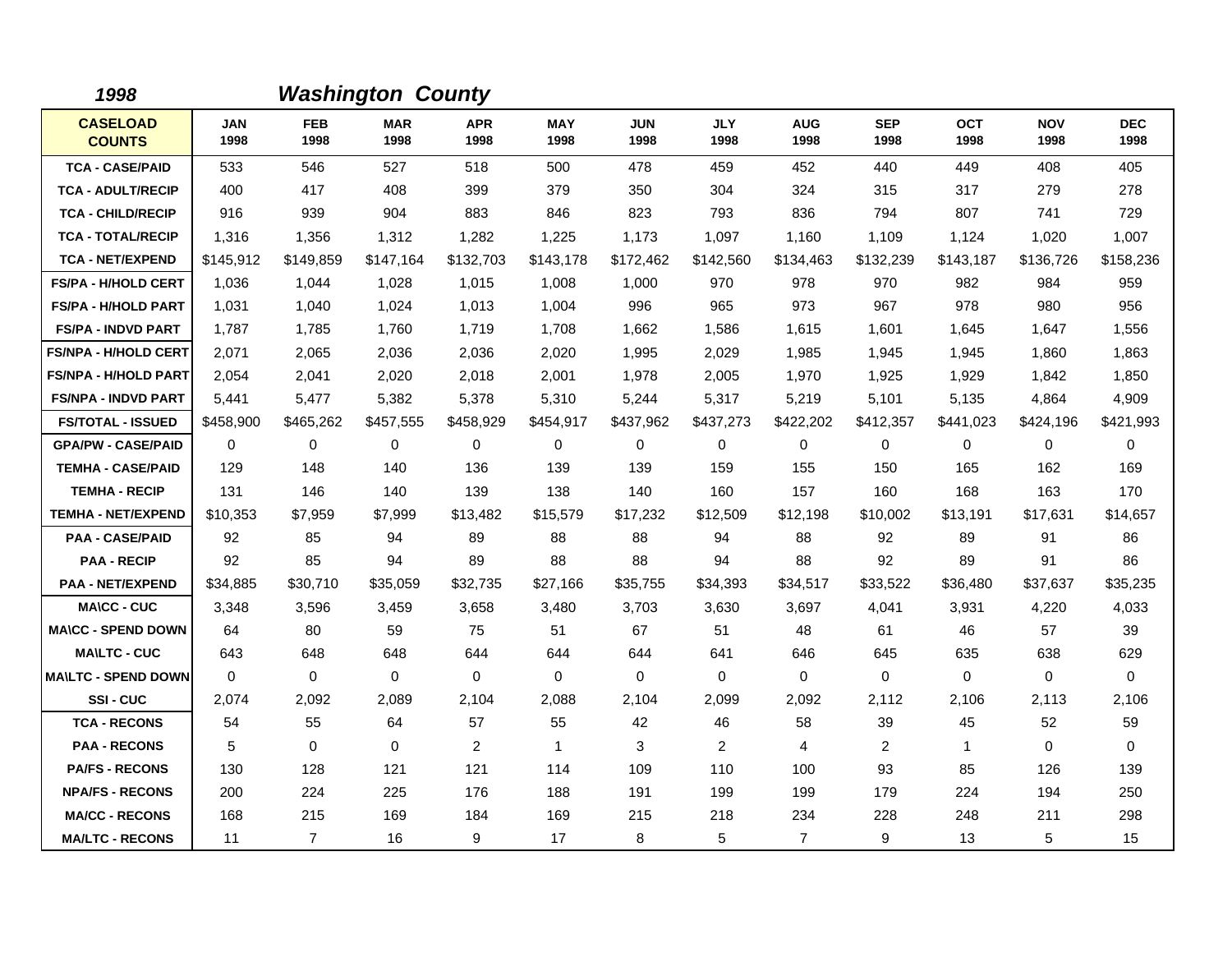| 1998                             |                    |                    | <b>Washington County</b> |                    |                    |                    |                    |                    |                    |                    |                    |                    |
|----------------------------------|--------------------|--------------------|--------------------------|--------------------|--------------------|--------------------|--------------------|--------------------|--------------------|--------------------|--------------------|--------------------|
| <b>CASELOAD</b><br><b>COUNTS</b> | <b>JAN</b><br>1998 | <b>FEB</b><br>1998 | <b>MAR</b><br>1998       | <b>APR</b><br>1998 | <b>MAY</b><br>1998 | <b>JUN</b><br>1998 | <b>JLY</b><br>1998 | <b>AUG</b><br>1998 | <b>SEP</b><br>1998 | <b>OCT</b><br>1998 | <b>NOV</b><br>1998 | <b>DEC</b><br>1998 |
| <b>TCA - CASE/PAID</b>           | 533                | 546                | 527                      | 518                | 500                | 478                | 459                | 452                | 440                | 449                | 408                | 405                |
| <b>TCA - ADULT/RECIP</b>         | 400                | 417                | 408                      | 399                | 379                | 350                | 304                | 324                | 315                | 317                | 279                | 278                |
| <b>TCA - CHILD/RECIP</b>         | 916                | 939                | 904                      | 883                | 846                | 823                | 793                | 836                | 794                | 807                | 741                | 729                |
| <b>TCA - TOTAL/RECIP</b>         | 1,316              | 1,356              | 1,312                    | 1,282              | 1,225              | 1,173              | 1,097              | 1,160              | 1,109              | 1,124              | 1,020              | 1,007              |
| <b>TCA - NET/EXPEND</b>          | \$145,912          | \$149,859          | \$147,164                | \$132,703          | \$143,178          | \$172,462          | \$142,560          | \$134,463          | \$132,239          | \$143,187          | \$136,726          | \$158,236          |
| <b>FS/PA - H/HOLD CERT</b>       | 1.036              | 1.044              | 1,028                    | 1,015              | 1,008              | 1.000              | 970                | 978                | 970                | 982                | 984                | 959                |
| <b>FS/PA - H/HOLD PART</b>       | 1,031              | 1,040              | 1,024                    | 1,013              | 1,004              | 996                | 965                | 973                | 967                | 978                | 980                | 956                |
| <b>FS/PA - INDVD PART</b>        | 1,787              | 1,785              | 1,760                    | 1,719              | 1,708              | 1,662              | 1,586              | 1,615              | 1,601              | 1,645              | 1,647              | 1,556              |
| <b>FS/NPA - H/HOLD CERT</b>      | 2,071              | 2,065              | 2,036                    | 2,036              | 2,020              | 1.995              | 2,029              | 1,985              | 1,945              | 1.945              | 1,860              | 1,863              |
| <b>FS/NPA - H/HOLD PART</b>      | 2,054              | 2,041              | 2,020                    | 2,018              | 2,001              | 1,978              | 2,005              | 1,970              | 1,925              | 1,929              | 1,842              | 1,850              |
| <b>FS/NPA - INDVD PART</b>       | 5,441              | 5,477              | 5,382                    | 5,378              | 5,310              | 5,244              | 5,317              | 5,219              | 5,101              | 5,135              | 4,864              | 4,909              |
| <b>FS/TOTAL - ISSUED</b>         | \$458,900          | \$465,262          | \$457,555                | \$458,929          | \$454,917          | \$437,962          | \$437,273          | \$422,202          | \$412,357          | \$441,023          | \$424,196          | \$421,993          |
| <b>GPA/PW - CASE/PAID</b>        | $\Omega$           | $\Omega$           | $\Omega$                 | 0                  | 0                  | $\Omega$           | $\mathbf 0$        | $\mathbf 0$        | $\mathbf 0$        | 0                  | $\mathbf 0$        | 0                  |
| <b>TEMHA - CASE/PAID</b>         | 129                | 148                | 140                      | 136                | 139                | 139                | 159                | 155                | 150                | 165                | 162                | 169                |
| <b>TEMHA - RECIP</b>             | 131                | 146                | 140                      | 139                | 138                | 140                | 160                | 157                | 160                | 168                | 163                | 170                |
| <b>TEMHA - NET/EXPEND</b>        | \$10,353           | \$7,959            | \$7,999                  | \$13,482           | \$15,579           | \$17,232           | \$12,509           | \$12,198           | \$10,002           | \$13,191           | \$17,631           | \$14,657           |
| <b>PAA - CASE/PAID</b>           | 92                 | 85                 | 94                       | 89                 | 88                 | 88                 | 94                 | 88                 | 92                 | 89                 | 91                 | 86                 |
| <b>PAA - RECIP</b>               | 92                 | 85                 | 94                       | 89                 | 88                 | 88                 | 94                 | 88                 | 92                 | 89                 | 91                 | 86                 |
| <b>PAA - NET/EXPEND</b>          | \$34,885           | \$30,710           | \$35,059                 | \$32,735           | \$27,166           | \$35,755           | \$34,393           | \$34,517           | \$33,522           | \$36,480           | \$37,637           | \$35,235           |
| <b>MA\CC - CUC</b>               | 3,348              | 3,596              | 3,459                    | 3,658              | 3,480              | 3,703              | 3,630              | 3,697              | 4,041              | 3,931              | 4,220              | 4,033              |
| <b>MA\CC - SPEND DOWN</b>        | 64                 | 80                 | 59                       | 75                 | 51                 | 67                 | 51                 | 48                 | 61                 | 46                 | 57                 | 39                 |
| <b>MA\LTC - CUC</b>              | 643                | 648                | 648                      | 644                | 644                | 644                | 641                | 646                | 645                | 635                | 638                | 629                |
| <b>MAILTC - SPEND DOWN</b>       | $\mathbf 0$        | $\mathbf 0$        | $\mathbf 0$              | 0                  | 0                  | $\mathbf 0$        | 0                  | 0                  | $\mathbf 0$        | 0                  | $\mathbf 0$        | 0                  |
| <b>SSI-CUC</b>                   | 2,074              | 2,092              | 2,089                    | 2,104              | 2,088              | 2,104              | 2,099              | 2,092              | 2,112              | 2,106              | 2,113              | 2,106              |
| <b>TCA - RECONS</b>              | 54                 | 55                 | 64                       | 57                 | 55                 | 42                 | 46                 | 58                 | 39                 | 45                 | 52                 | 59                 |
| <b>PAA - RECONS</b>              | 5                  | 0                  | $\mathbf 0$              | $\overline{2}$     | $\mathbf{1}$       | 3                  | $\overline{2}$     | 4                  | 2                  | $\mathbf 1$        | $\mathbf 0$        | $\mathbf 0$        |
| <b>PA/FS - RECONS</b>            | 130                | 128                | 121                      | 121                | 114                | 109                | 110                | 100                | 93                 | 85                 | 126                | 139                |
| <b>NPA/FS - RECONS</b>           | 200                | 224                | 225                      | 176                | 188                | 191                | 199                | 199                | 179                | 224                | 194                | 250                |
| <b>MA/CC - RECONS</b>            | 168                | 215                | 169                      | 184                | 169                | 215                | 218                | 234                | 228                | 248                | 211                | 298                |
| <b>MA/LTC - RECONS</b>           | 11                 | $\overline{7}$     | 16                       | 9                  | 17                 | 8                  | 5                  | $\overline{7}$     | 9                  | 13                 | 5                  | 15                 |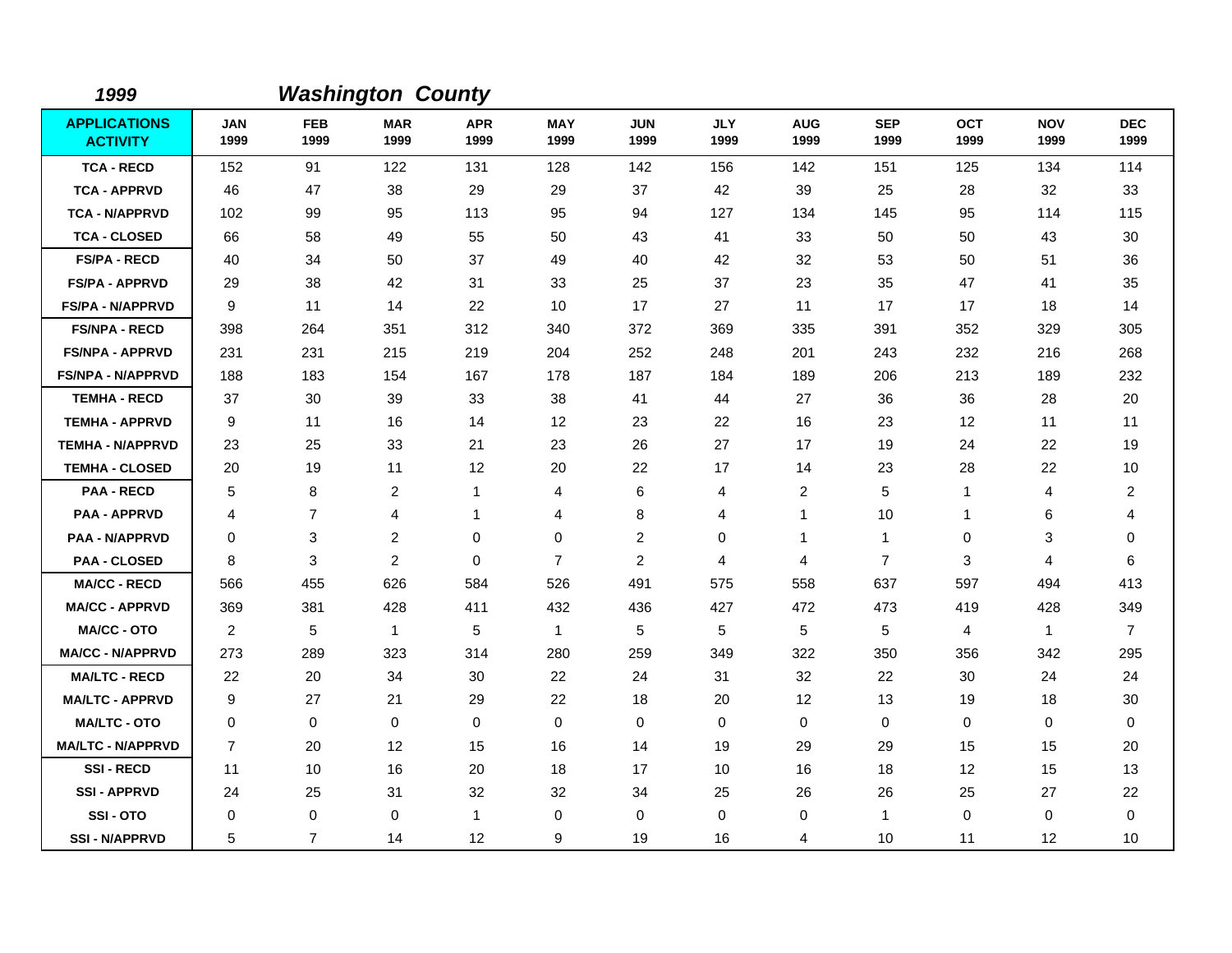| 1999                                   |                    |                    | <b>Washington County</b> |                    |                    |                    |                    |                         |                    |                    |                    |                    |
|----------------------------------------|--------------------|--------------------|--------------------------|--------------------|--------------------|--------------------|--------------------|-------------------------|--------------------|--------------------|--------------------|--------------------|
| <b>APPLICATIONS</b><br><b>ACTIVITY</b> | <b>JAN</b><br>1999 | <b>FEB</b><br>1999 | <b>MAR</b><br>1999       | <b>APR</b><br>1999 | <b>MAY</b><br>1999 | <b>JUN</b><br>1999 | <b>JLY</b><br>1999 | <b>AUG</b><br>1999      | <b>SEP</b><br>1999 | <b>OCT</b><br>1999 | <b>NOV</b><br>1999 | <b>DEC</b><br>1999 |
| <b>TCA - RECD</b>                      | 152                | 91                 | 122                      | 131                | 128                | 142                | 156                | 142                     | 151                | 125                | 134                | 114                |
| <b>TCA - APPRVD</b>                    | 46                 | 47                 | 38                       | 29                 | 29                 | 37                 | 42                 | 39                      | 25                 | 28                 | 32                 | 33                 |
| <b>TCA - N/APPRVD</b>                  | 102                | 99                 | 95                       | 113                | 95                 | 94                 | 127                | 134                     | 145                | 95                 | 114                | 115                |
| <b>TCA - CLOSED</b>                    | 66                 | 58                 | 49                       | 55                 | 50                 | 43                 | 41                 | 33                      | 50                 | 50                 | 43                 | 30                 |
| <b>FS/PA - RECD</b>                    | 40                 | 34                 | 50                       | 37                 | 49                 | 40                 | 42                 | 32                      | 53                 | 50                 | 51                 | 36                 |
| <b>FS/PA - APPRVD</b>                  | 29                 | 38                 | 42                       | 31                 | 33                 | 25                 | 37                 | 23                      | 35                 | 47                 | 41                 | 35                 |
| <b>FS/PA - N/APPRVD</b>                | 9                  | 11                 | 14                       | 22                 | 10                 | 17                 | 27                 | 11                      | 17                 | 17                 | 18                 | 14                 |
| <b>FS/NPA - RECD</b>                   | 398                | 264                | 351                      | 312                | 340                | 372                | 369                | 335                     | 391                | 352                | 329                | 305                |
| <b>FS/NPA - APPRVD</b>                 | 231                | 231                | 215                      | 219                | 204                | 252                | 248                | 201                     | 243                | 232                | 216                | 268                |
| <b>FS/NPA - N/APPRVD</b>               | 188                | 183                | 154                      | 167                | 178                | 187                | 184                | 189                     | 206                | 213                | 189                | 232                |
| <b>TEMHA - RECD</b>                    | 37                 | 30                 | 39                       | 33                 | 38                 | 41                 | 44                 | 27                      | 36                 | 36                 | 28                 | 20                 |
| <b>TEMHA - APPRVD</b>                  | 9                  | 11                 | 16                       | 14                 | 12                 | 23                 | 22                 | 16                      | 23                 | 12                 | 11                 | 11                 |
| <b>TEMHA - N/APPRVD</b>                | 23                 | 25                 | 33                       | 21                 | 23                 | 26                 | 27                 | 17                      | 19                 | 24                 | 22                 | 19                 |
| <b>TEMHA - CLOSED</b>                  | 20                 | 19                 | 11                       | 12                 | 20                 | 22                 | 17                 | 14                      | 23                 | 28                 | 22                 | 10                 |
| <b>PAA - RECD</b>                      | 5                  | 8                  | $\overline{c}$           | 1                  | 4                  | 6                  | 4                  | $\overline{\mathbf{c}}$ | 5                  | $\mathbf{1}$       | 4                  | $\overline{c}$     |
| <b>PAA - APPRVD</b>                    | 4                  | $\overline{7}$     | 4                        | 1                  | 4                  | 8                  | 4                  | 1                       | 10                 | 1                  | 6                  | 4                  |
| <b>PAA - N/APPRVD</b>                  | $\Omega$           | 3                  | $\overline{2}$           | 0                  | $\mathbf 0$        | $\overline{2}$     | $\mathbf 0$        | 1                       | $\mathbf{1}$       | 0                  | 3                  | 0                  |
| <b>PAA - CLOSED</b>                    | 8                  | 3                  | $\overline{2}$           | 0                  | $\overline{7}$     | $\overline{2}$     | 4                  | 4                       | $\overline{7}$     | 3                  | 4                  | 6                  |
| <b>MA/CC - RECD</b>                    | 566                | 455                | 626                      | 584                | 526                | 491                | 575                | 558                     | 637                | 597                | 494                | 413                |
| <b>MA/CC - APPRVD</b>                  | 369                | 381                | 428                      | 411                | 432                | 436                | 427                | 472                     | 473                | 419                | 428                | 349                |
| <b>MA/CC - OTO</b>                     | $\overline{2}$     | 5                  | $\mathbf{1}$             | 5                  | $\mathbf{1}$       | 5                  | 5                  | 5                       | 5                  | 4                  | $\mathbf{1}$       | $\overline{7}$     |
| <b>MA/CC - N/APPRVD</b>                | 273                | 289                | 323                      | 314                | 280                | 259                | 349                | 322                     | 350                | 356                | 342                | 295                |
| <b>MA/LTC - RECD</b>                   | 22                 | 20                 | 34                       | 30                 | 22                 | 24                 | 31                 | 32                      | 22                 | 30                 | 24                 | 24                 |
| <b>MA/LTC - APPRVD</b>                 | 9                  | 27                 | 21                       | 29                 | 22                 | 18                 | 20                 | 12                      | 13                 | 19                 | 18                 | 30                 |
| <b>MA/LTC - OTO</b>                    | 0                  | 0                  | $\mathbf 0$              | 0                  | $\mathbf 0$        | $\mathbf 0$        | 0                  | 0                       | $\mathbf 0$        | 0                  | 0                  | 0                  |
| <b>MA/LTC - N/APPRVD</b>               | $\overline{7}$     | 20                 | $12 \overline{ }$        | 15                 | 16                 | 14                 | 19                 | 29                      | 29                 | 15                 | 15                 | 20                 |
| <b>SSI-RECD</b>                        | 11                 | 10                 | 16                       | 20                 | 18                 | 17                 | 10                 | 16                      | 18                 | 12                 | 15                 | 13                 |
| <b>SSI-APPRVD</b>                      | 24                 | 25                 | 31                       | 32                 | 32                 | 34                 | 25                 | 26                      | 26                 | 25                 | 27                 | 22                 |
| SSI-OTO                                | 0                  | 0                  | $\mathbf 0$              | 1                  | 0                  | 0                  | $\mathbf 0$        | 0                       | $\mathbf{1}$       | 0                  | 0                  | 0                  |
| <b>SSI - N/APPRVD</b>                  | 5                  | $\overline{7}$     | 14                       | 12                 | 9                  | 19                 | 16                 | 4                       | 10                 | 11                 | 12                 | 10                 |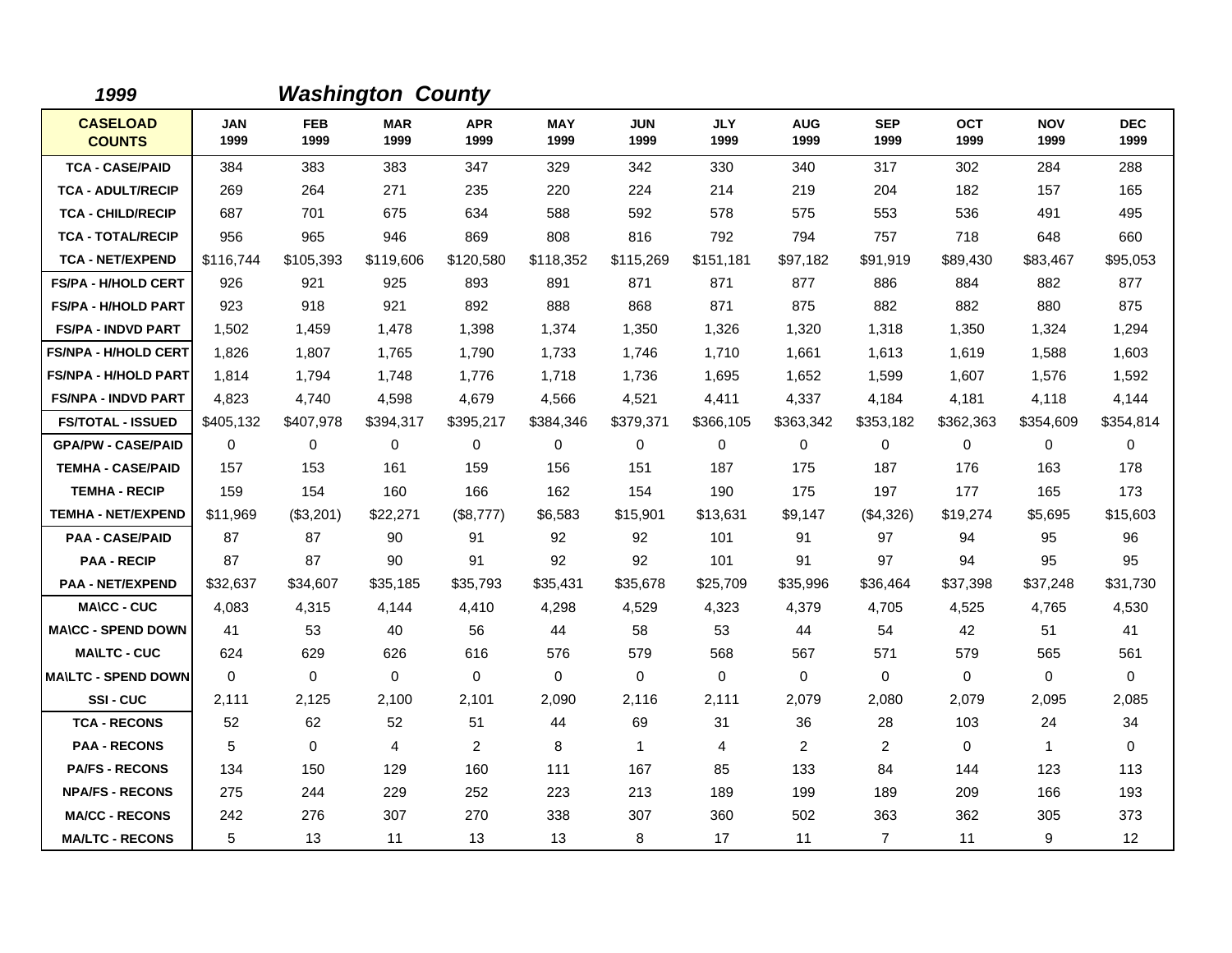| 1999                             |                    |                    | <b>Washington County</b> |                    |                    |                    |                    |                    |                    |                    |                    |                    |
|----------------------------------|--------------------|--------------------|--------------------------|--------------------|--------------------|--------------------|--------------------|--------------------|--------------------|--------------------|--------------------|--------------------|
| <b>CASELOAD</b><br><b>COUNTS</b> | <b>JAN</b><br>1999 | <b>FEB</b><br>1999 | <b>MAR</b><br>1999       | <b>APR</b><br>1999 | <b>MAY</b><br>1999 | <b>JUN</b><br>1999 | <b>JLY</b><br>1999 | <b>AUG</b><br>1999 | <b>SEP</b><br>1999 | <b>OCT</b><br>1999 | <b>NOV</b><br>1999 | <b>DEC</b><br>1999 |
| <b>TCA - CASE/PAID</b>           | 384                | 383                | 383                      | 347                | 329                | 342                | 330                | 340                | 317                | 302                | 284                | 288                |
| <b>TCA - ADULT/RECIP</b>         | 269                | 264                | 271                      | 235                | 220                | 224                | 214                | 219                | 204                | 182                | 157                | 165                |
| <b>TCA - CHILD/RECIP</b>         | 687                | 701                | 675                      | 634                | 588                | 592                | 578                | 575                | 553                | 536                | 491                | 495                |
| <b>TCA - TOTAL/RECIP</b>         | 956                | 965                | 946                      | 869                | 808                | 816                | 792                | 794                | 757                | 718                | 648                | 660                |
| <b>TCA - NET/EXPEND</b>          | \$116,744          | \$105,393          | \$119,606                | \$120,580          | \$118,352          | \$115,269          | \$151,181          | \$97,182           | \$91,919           | \$89,430           | \$83,467           | \$95,053           |
| <b>FS/PA - H/HOLD CERT</b>       | 926                | 921                | 925                      | 893                | 891                | 871                | 871                | 877                | 886                | 884                | 882                | 877                |
| <b>FS/PA - H/HOLD PART</b>       | 923                | 918                | 921                      | 892                | 888                | 868                | 871                | 875                | 882                | 882                | 880                | 875                |
| <b>FS/PA - INDVD PART</b>        | 1,502              | 1,459              | 1,478                    | 1,398              | 1,374              | 1,350              | 1,326              | 1,320              | 1,318              | 1,350              | 1,324              | 1,294              |
| <b>FS/NPA - H/HOLD CERT</b>      | 1,826              | 1,807              | 1,765                    | 1,790              | 1,733              | 1.746              | 1.710              | 1,661              | 1,613              | 1.619              | 1,588              | 1,603              |
| <b>FS/NPA - H/HOLD PART</b>      | 1,814              | 1,794              | 1.748                    | 1,776              | 1,718              | 1,736              | 1,695              | 1,652              | 1,599              | 1,607              | 1,576              | 1,592              |
| <b>FS/NPA - INDVD PART</b>       | 4,823              | 4.740              | 4,598                    | 4,679              | 4,566              | 4,521              | 4,411              | 4,337              | 4,184              | 4,181              | 4,118              | 4,144              |
| <b>FS/TOTAL - ISSUED</b>         | \$405,132          | \$407,978          | \$394,317                | \$395,217          | \$384,346          | \$379,371          | \$366,105          | \$363,342          | \$353,182          | \$362,363          | \$354,609          | \$354,814          |
| <b>GPA/PW - CASE/PAID</b>        | 0                  | 0                  | 0                        | 0                  | 0                  | 0                  | 0                  | 0                  | $\mathbf 0$        | 0                  | 0                  | 0                  |
| <b>TEMHA - CASE/PAID</b>         | 157                | 153                | 161                      | 159                | 156                | 151                | 187                | 175                | 187                | 176                | 163                | 178                |
| <b>TEMHA - RECIP</b>             | 159                | 154                | 160                      | 166                | 162                | 154                | 190                | 175                | 197                | 177                | 165                | 173                |
| <b>TEMHA - NET/EXPEND</b>        | \$11,969           | (\$3,201)          | \$22,271                 | (\$8,777)          | \$6,583            | \$15,901           | \$13,631           | \$9,147            | (\$4,326)          | \$19,274           | \$5,695            | \$15,603           |
| <b>PAA - CASE/PAID</b>           | 87                 | 87                 | 90                       | 91                 | 92                 | 92                 | 101                | 91                 | 97                 | 94                 | 95                 | 96                 |
| <b>PAA - RECIP</b>               | 87                 | 87                 | 90                       | 91                 | 92                 | 92                 | 101                | 91                 | 97                 | 94                 | 95                 | 95                 |
| <b>PAA - NET/EXPEND</b>          | \$32,637           | \$34,607           | \$35,185                 | \$35,793           | \$35,431           | \$35,678           | \$25,709           | \$35,996           | \$36,464           | \$37,398           | \$37,248           | \$31,730           |
| <b>MA\CC - CUC</b>               | 4,083              | 4,315              | 4,144                    | 4,410              | 4,298              | 4,529              | 4,323              | 4,379              | 4,705              | 4,525              | 4,765              | 4,530              |
| <b>MA\CC - SPEND DOWN</b>        | 41                 | 53                 | 40                       | 56                 | 44                 | 58                 | 53                 | 44                 | 54                 | 42                 | 51                 | 41                 |
| <b>MA\LTC - CUC</b>              | 624                | 629                | 626                      | 616                | 576                | 579                | 568                | 567                | 571                | 579                | 565                | 561                |
| <b>MAILTC - SPEND DOWN</b>       | $\Omega$           | $\mathbf 0$        | $\mathbf 0$              | $\mathbf 0$        | 0                  | $\Omega$           | $\Omega$           | 0                  | 0                  | 0                  | $\mathbf 0$        | 0                  |
| SSI-CUC                          | 2,111              | 2,125              | 2,100                    | 2,101              | 2,090              | 2,116              | 2,111              | 2,079              | 2,080              | 2,079              | 2,095              | 2,085              |
| <b>TCA - RECONS</b>              | 52                 | 62                 | 52                       | 51                 | 44                 | 69                 | 31                 | 36                 | 28                 | 103                | 24                 | 34                 |
| <b>PAA - RECONS</b>              | 5                  | $\mathbf 0$        | $\overline{4}$           | $\overline{2}$     | 8                  | $\mathbf{1}$       | 4                  | $\overline{2}$     | 2                  | $\mathbf 0$        | $\mathbf{1}$       | $\mathbf 0$        |
| <b>PA/FS - RECONS</b>            | 134                | 150                | 129                      | 160                | 111                | 167                | 85                 | 133                | 84                 | 144                | 123                | 113                |
| <b>NPA/FS - RECONS</b>           | 275                | 244                | 229                      | 252                | 223                | 213                | 189                | 199                | 189                | 209                | 166                | 193                |
| <b>MA/CC - RECONS</b>            | 242                | 276                | 307                      | 270                | 338                | 307                | 360                | 502                | 363                | 362                | 305                | 373                |
| <b>MA/LTC - RECONS</b>           | 5                  | 13                 | 11                       | 13                 | 13                 | 8                  | 17                 | 11                 | $\overline{7}$     | 11                 | 9                  | 12                 |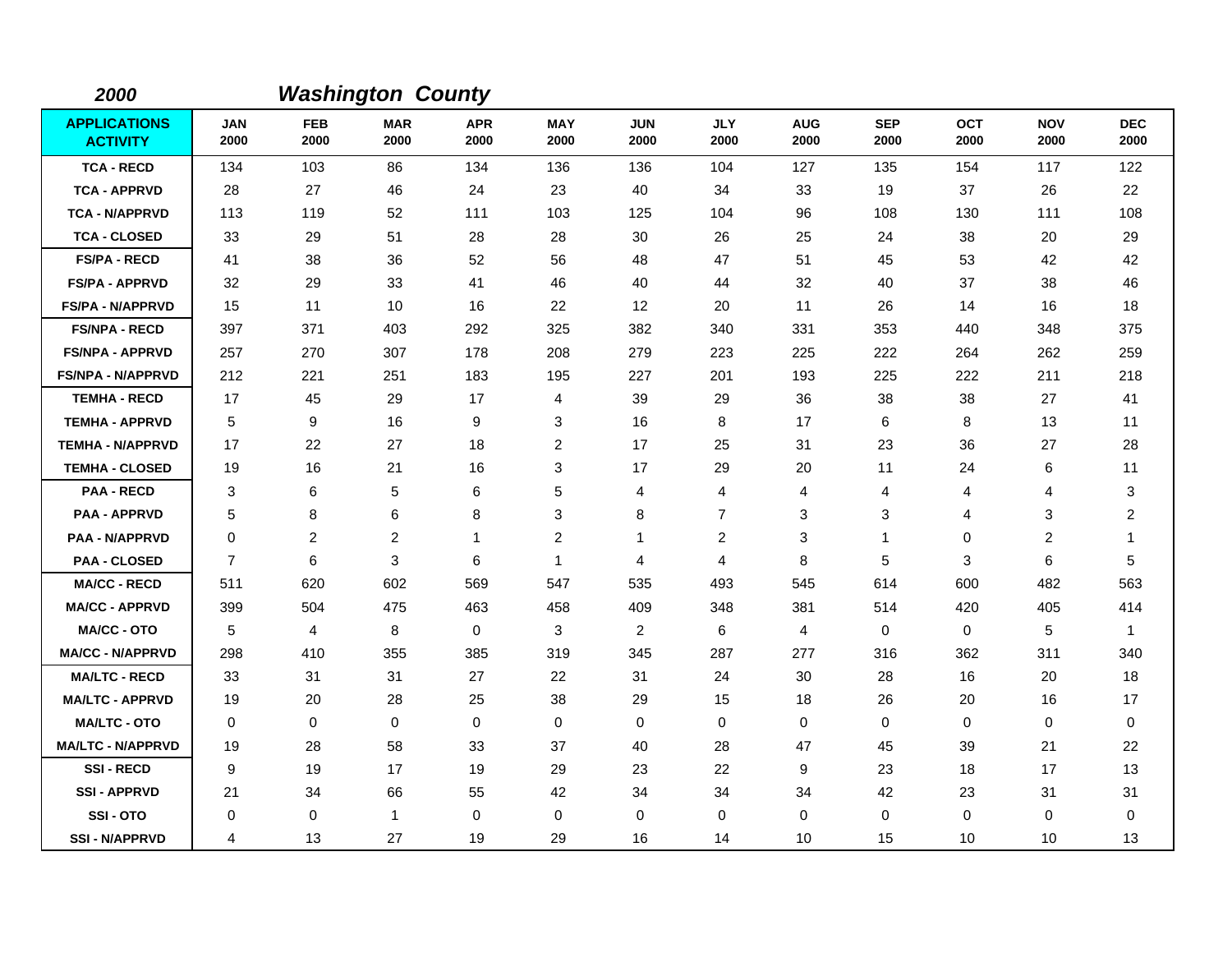| 2000                                   |                    |                    | <b>Washington County</b> |                    |                    |                    |                    |                    |                    |                    |                    |                         |
|----------------------------------------|--------------------|--------------------|--------------------------|--------------------|--------------------|--------------------|--------------------|--------------------|--------------------|--------------------|--------------------|-------------------------|
| <b>APPLICATIONS</b><br><b>ACTIVITY</b> | <b>JAN</b><br>2000 | <b>FEB</b><br>2000 | <b>MAR</b><br>2000       | <b>APR</b><br>2000 | <b>MAY</b><br>2000 | <b>JUN</b><br>2000 | <b>JLY</b><br>2000 | <b>AUG</b><br>2000 | <b>SEP</b><br>2000 | <b>OCT</b><br>2000 | <b>NOV</b><br>2000 | <b>DEC</b><br>2000      |
| <b>TCA - RECD</b>                      | 134                | 103                | 86                       | 134                | 136                | 136                | 104                | 127                | 135                | 154                | 117                | 122                     |
| <b>TCA - APPRVD</b>                    | 28                 | 27                 | 46                       | 24                 | 23                 | 40                 | 34                 | 33                 | 19                 | 37                 | 26                 | 22                      |
| <b>TCA - N/APPRVD</b>                  | 113                | 119                | 52                       | 111                | 103                | 125                | 104                | 96                 | 108                | 130                | 111                | 108                     |
| <b>TCA - CLOSED</b>                    | 33                 | 29                 | 51                       | 28                 | 28                 | 30                 | 26                 | 25                 | 24                 | 38                 | 20                 | 29                      |
| <b>FS/PA - RECD</b>                    | 41                 | 38                 | 36                       | 52                 | 56                 | 48                 | 47                 | 51                 | 45                 | 53                 | 42                 | 42                      |
| <b>FS/PA - APPRVD</b>                  | 32                 | 29                 | 33                       | 41                 | 46                 | 40                 | 44                 | 32                 | 40                 | 37                 | 38                 | 46                      |
| <b>FS/PA - N/APPRVD</b>                | 15                 | 11                 | 10                       | 16                 | 22                 | 12                 | 20                 | 11                 | 26                 | 14                 | 16                 | 18                      |
| <b>FS/NPA - RECD</b>                   | 397                | 371                | 403                      | 292                | 325                | 382                | 340                | 331                | 353                | 440                | 348                | 375                     |
| <b>FS/NPA - APPRVD</b>                 | 257                | 270                | 307                      | 178                | 208                | 279                | 223                | 225                | 222                | 264                | 262                | 259                     |
| <b>FS/NPA - N/APPRVD</b>               | 212                | 221                | 251                      | 183                | 195                | 227                | 201                | 193                | 225                | 222                | 211                | 218                     |
| <b>TEMHA - RECD</b>                    | 17                 | 45                 | 29                       | 17                 | 4                  | 39                 | 29                 | 36                 | 38                 | 38                 | 27                 | 41                      |
| <b>TEMHA - APPRVD</b>                  | 5                  | 9                  | 16                       | 9                  | 3                  | 16                 | 8                  | 17                 | 6                  | 8                  | 13                 | 11                      |
| <b>TEMHA - N/APPRVD</b>                | 17                 | 22                 | 27                       | 18                 | $\overline{c}$     | 17                 | 25                 | 31                 | 23                 | 36                 | 27                 | 28                      |
| <b>TEMHA - CLOSED</b>                  | 19                 | 16                 | 21                       | 16                 | 3                  | 17                 | 29                 | 20                 | 11                 | 24                 | 6                  | 11                      |
| <b>PAA - RECD</b>                      | 3                  | 6                  | 5                        | 6                  | 5                  | 4                  | 4                  | 4                  | 4                  | 4                  | 4                  | 3                       |
| <b>PAA - APPRVD</b>                    | 5                  | 8                  | 6                        | 8                  | 3                  | 8                  | $\overline{7}$     | 3                  | 3                  | 4                  | 3                  | $\overline{\mathbf{c}}$ |
| <b>PAA - N/APPRVD</b>                  | $\Omega$           | $\overline{2}$     | $\overline{2}$           | 1                  | 2                  | 1                  | 2                  | 3                  | $\mathbf 1$        | 0                  | 2                  | -1                      |
| <b>PAA - CLOSED</b>                    | $\overline{7}$     | 6                  | 3                        | 6                  | $\mathbf{1}$       | 4                  | 4                  | 8                  | 5                  | 3                  | 6                  | 5                       |
| <b>MA/CC - RECD</b>                    | 511                | 620                | 602                      | 569                | 547                | 535                | 493                | 545                | 614                | 600                | 482                | 563                     |
| <b>MA/CC - APPRVD</b>                  | 399                | 504                | 475                      | 463                | 458                | 409                | 348                | 381                | 514                | 420                | 405                | 414                     |
| <b>MA/CC - OTO</b>                     | 5                  | 4                  | 8                        | 0                  | 3                  | 2                  | 6                  | 4                  | $\mathbf 0$        | 0                  | 5                  | $\overline{1}$          |
| <b>MA/CC - N/APPRVD</b>                | 298                | 410                | 355                      | 385                | 319                | 345                | 287                | 277                | 316                | 362                | 311                | 340                     |
| <b>MA/LTC - RECD</b>                   | 33                 | 31                 | 31                       | 27                 | 22                 | 31                 | 24                 | 30                 | 28                 | 16                 | 20                 | 18                      |
| <b>MA/LTC - APPRVD</b>                 | 19                 | 20                 | 28                       | 25                 | 38                 | 29                 | 15                 | 18                 | 26                 | 20                 | 16                 | 17                      |
| <b>MA/LTC - OTO</b>                    | 0                  | 0                  | 0                        | 0                  | 0                  | $\mathbf 0$        | 0                  | 0                  | $\mathbf 0$        | 0                  | 0                  | 0                       |
| <b>MA/LTC - N/APPRVD</b>               | 19                 | 28                 | 58                       | 33                 | 37                 | 40                 | 28                 | 47                 | 45                 | 39                 | 21                 | 22                      |
| <b>SSI-RECD</b>                        | 9                  | 19                 | 17                       | 19                 | 29                 | 23                 | 22                 | 9                  | 23                 | 18                 | 17                 | 13                      |
| <b>SSI-APPRVD</b>                      | 21                 | 34                 | 66                       | 55                 | 42                 | 34                 | 34                 | 34                 | 42                 | 23                 | 31                 | 31                      |
| SSI-OTO                                | 0                  | 0                  | $\mathbf{1}$             | 0                  | 0                  | 0                  | $\mathbf 0$        | 0                  | 0                  | 0                  | 0                  | 0                       |
| <b>SSI-N/APPRVD</b>                    | 4                  | 13                 | 27                       | 19                 | 29                 | 16                 | 14                 | 10                 | 15                 | 10                 | 10                 | 13                      |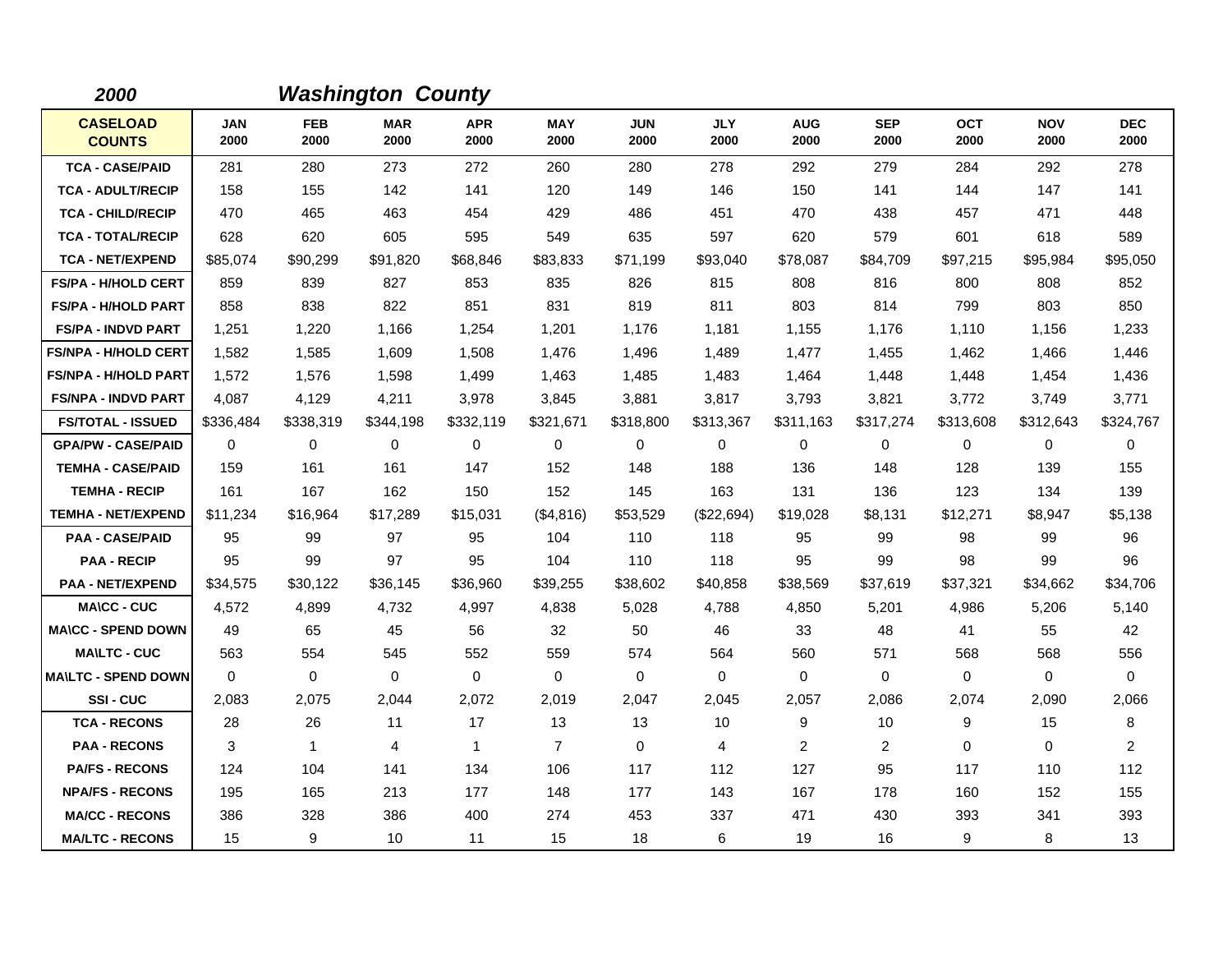| 2000                             |                    |                    | <b>Washington County</b> |                    |                    |                    |                    |                    |                    |                    |                    |                    |
|----------------------------------|--------------------|--------------------|--------------------------|--------------------|--------------------|--------------------|--------------------|--------------------|--------------------|--------------------|--------------------|--------------------|
| <b>CASELOAD</b><br><b>COUNTS</b> | <b>JAN</b><br>2000 | <b>FEB</b><br>2000 | <b>MAR</b><br>2000       | <b>APR</b><br>2000 | <b>MAY</b><br>2000 | <b>JUN</b><br>2000 | <b>JLY</b><br>2000 | <b>AUG</b><br>2000 | <b>SEP</b><br>2000 | <b>OCT</b><br>2000 | <b>NOV</b><br>2000 | <b>DEC</b><br>2000 |
| <b>TCA - CASE/PAID</b>           | 281                | 280                | 273                      | 272                | 260                | 280                | 278                | 292                | 279                | 284                | 292                | 278                |
| <b>TCA - ADULT/RECIP</b>         | 158                | 155                | 142                      | 141                | 120                | 149                | 146                | 150                | 141                | 144                | 147                | 141                |
| <b>TCA - CHILD/RECIP</b>         | 470                | 465                | 463                      | 454                | 429                | 486                | 451                | 470                | 438                | 457                | 471                | 448                |
| <b>TCA - TOTAL/RECIP</b>         | 628                | 620                | 605                      | 595                | 549                | 635                | 597                | 620                | 579                | 601                | 618                | 589                |
| <b>TCA - NET/EXPEND</b>          | \$85,074           | \$90,299           | \$91,820                 | \$68,846           | \$83,833           | \$71,199           | \$93,040           | \$78,087           | \$84,709           | \$97,215           | \$95,984           | \$95,050           |
| <b>FS/PA - H/HOLD CERT</b>       | 859                | 839                | 827                      | 853                | 835                | 826                | 815                | 808                | 816                | 800                | 808                | 852                |
| <b>FS/PA - H/HOLD PART</b>       | 858                | 838                | 822                      | 851                | 831                | 819                | 811                | 803                | 814                | 799                | 803                | 850                |
| <b>FS/PA - INDVD PART</b>        | 1,251              | 1,220              | 1,166                    | 1,254              | 1,201              | 1,176              | 1,181              | 1,155              | 1,176              | 1,110              | 1,156              | 1,233              |
| <b>FS/NPA - H/HOLD CERT</b>      | 1,582              | 1,585              | 1,609                    | 1,508              | 1,476              | 1,496              | 1,489              | 1,477              | 1,455              | 1,462              | 1,466              | 1,446              |
| <b>FS/NPA - H/HOLD PART</b>      | 1,572              | 1,576              | 1,598                    | 1,499              | 1,463              | 1,485              | 1,483              | 1,464              | 1,448              | 1,448              | 1,454              | 1,436              |
| <b>FS/NPA - INDVD PART</b>       | 4,087              | 4,129              | 4,211                    | 3,978              | 3,845              | 3,881              | 3,817              | 3,793              | 3,821              | 3,772              | 3,749              | 3,771              |
| <b>FS/TOTAL - ISSUED</b>         | \$336,484          | \$338,319          | \$344,198                | \$332,119          | \$321,671          | \$318,800          | \$313,367          | \$311,163          | \$317,274          | \$313,608          | \$312,643          | \$324,767          |
| <b>GPA/PW - CASE/PAID</b>        | $\Omega$           | $\Omega$           | $\Omega$                 | $\Omega$           | $\mathbf 0$        | $\Omega$           | $\mathbf 0$        | 0                  | $\Omega$           | 0                  | $\mathbf 0$        | 0                  |
| <b>TEMHA - CASE/PAID</b>         | 159                | 161                | 161                      | 147                | 152                | 148                | 188                | 136                | 148                | 128                | 139                | 155                |
| <b>TEMHA - RECIP</b>             | 161                | 167                | 162                      | 150                | 152                | 145                | 163                | 131                | 136                | 123                | 134                | 139                |
| <b>TEMHA - NET/EXPEND</b>        | \$11,234           | \$16,964           | \$17,289                 | \$15,031           | (\$4,816)          | \$53,529           | (\$22,694)         | \$19,028           | \$8,131            | \$12,271           | \$8,947            | \$5,138            |
| <b>PAA - CASE/PAID</b>           | 95                 | 99                 | 97                       | 95                 | 104                | 110                | 118                | 95                 | 99                 | 98                 | 99                 | 96                 |
| <b>PAA - RECIP</b>               | 95                 | 99                 | 97                       | 95                 | 104                | 110                | 118                | 95                 | 99                 | 98                 | 99                 | 96                 |
| <b>PAA - NET/EXPEND</b>          | \$34,575           | \$30,122           | \$36,145                 | \$36,960           | \$39,255           | \$38,602           | \$40,858           | \$38,569           | \$37,619           | \$37,321           | \$34,662           | \$34,706           |
| <b>MA\CC - CUC</b>               | 4,572              | 4,899              | 4,732                    | 4,997              | 4,838              | 5,028              | 4,788              | 4,850              | 5,201              | 4,986              | 5,206              | 5,140              |
| <b>MA\CC - SPEND DOWN</b>        | 49                 | 65                 | 45                       | 56                 | 32                 | 50                 | 46                 | 33                 | 48                 | 41                 | 55                 | 42                 |
| <b>MA\LTC - CUC</b>              | 563                | 554                | 545                      | 552                | 559                | 574                | 564                | 560                | 571                | 568                | 568                | 556                |
| <b>MA\LTC - SPEND DOWN</b>       | 0                  | 0                  | $\mathbf 0$              | $\mathbf 0$        | $\mathbf 0$        | $\mathbf 0$        | $\mathbf 0$        | 0                  | 0                  | 0                  | 0                  | 0                  |
| <b>SSI-CUC</b>                   | 2,083              | 2,075              | 2,044                    | 2,072              | 2,019              | 2,047              | 2,045              | 2,057              | 2,086              | 2,074              | 2,090              | 2,066              |
| <b>TCA - RECONS</b>              | 28                 | 26                 | 11                       | 17                 | 13                 | 13                 | 10                 | 9                  | 10                 | 9                  | 15                 | 8                  |
| <b>PAA - RECONS</b>              | 3                  | $\mathbf{1}$       | $\overline{4}$           | $\mathbf{1}$       | $\overline{7}$     | $\mathbf 0$        | 4                  | 2                  | 2                  | $\Omega$           | 0                  | $\overline{2}$     |
| <b>PA/FS - RECONS</b>            | 124                | 104                | 141                      | 134                | 106                | 117                | 112                | 127                | 95                 | 117                | 110                | 112                |
| <b>NPA/FS - RECONS</b>           | 195                | 165                | 213                      | 177                | 148                | 177                | 143                | 167                | 178                | 160                | 152                | 155                |
| <b>MA/CC - RECONS</b>            | 386                | 328                | 386                      | 400                | 274                | 453                | 337                | 471                | 430                | 393                | 341                | 393                |
| <b>MA/LTC - RECONS</b>           | 15                 | 9                  | 10                       | 11                 | 15                 | 18                 | 6                  | 19                 | 16                 | 9                  | 8                  | 13                 |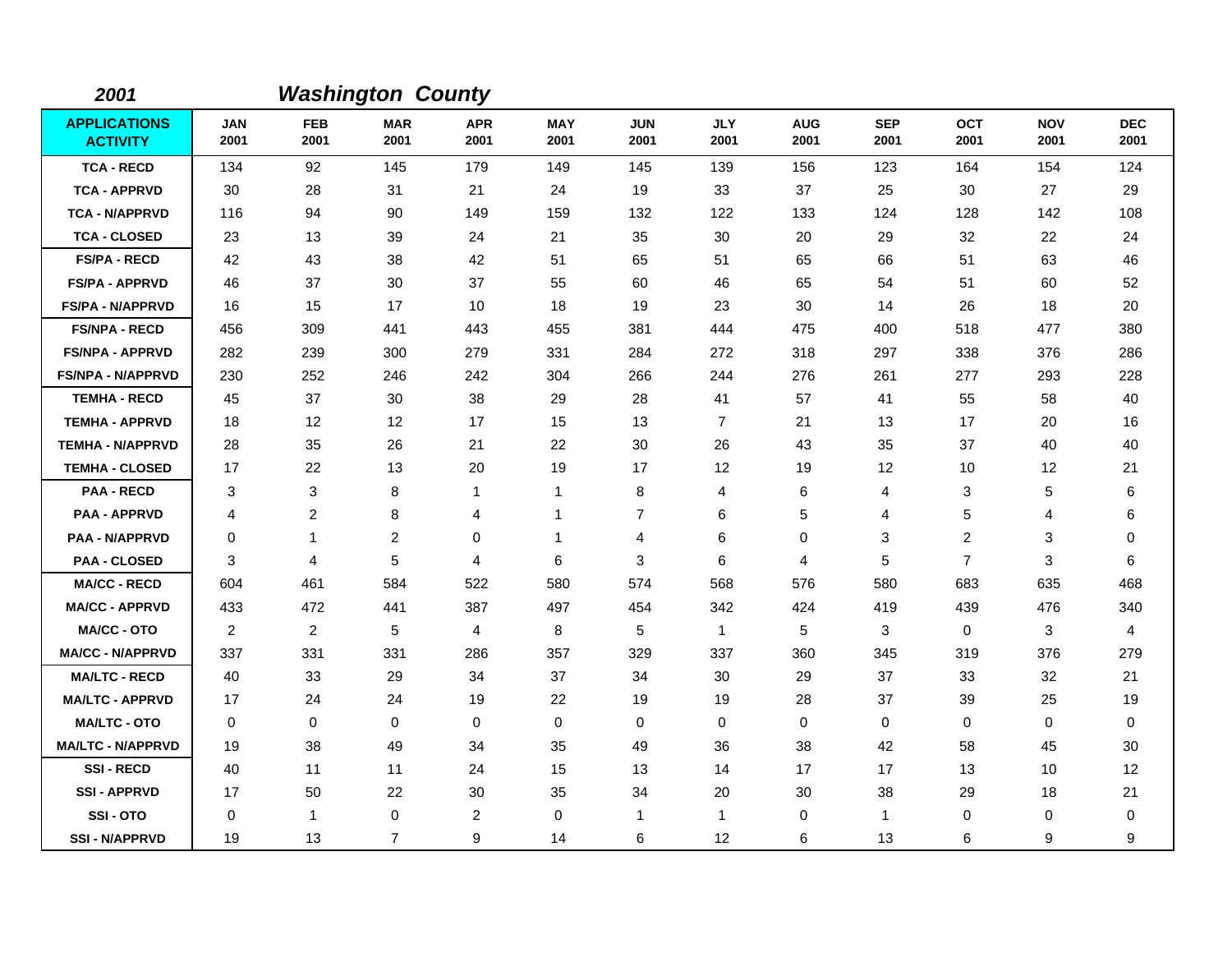| 2001                                   |                    |                    | <b>Washington County</b> |                    |                    |                    |                    |                    |                    |                    |                    |                    |
|----------------------------------------|--------------------|--------------------|--------------------------|--------------------|--------------------|--------------------|--------------------|--------------------|--------------------|--------------------|--------------------|--------------------|
| <b>APPLICATIONS</b><br><b>ACTIVITY</b> | <b>JAN</b><br>2001 | <b>FEB</b><br>2001 | <b>MAR</b><br>2001       | <b>APR</b><br>2001 | <b>MAY</b><br>2001 | <b>JUN</b><br>2001 | <b>JLY</b><br>2001 | <b>AUG</b><br>2001 | <b>SEP</b><br>2001 | <b>OCT</b><br>2001 | <b>NOV</b><br>2001 | <b>DEC</b><br>2001 |
| <b>TCA - RECD</b>                      | 134                | 92                 | 145                      | 179                | 149                | 145                | 139                | 156                | 123                | 164                | 154                | 124                |
| <b>TCA - APPRVD</b>                    | 30                 | 28                 | 31                       | 21                 | 24                 | 19                 | 33                 | 37                 | 25                 | 30                 | 27                 | 29                 |
| <b>TCA - N/APPRVD</b>                  | 116                | 94                 | 90                       | 149                | 159                | 132                | 122                | 133                | 124                | 128                | 142                | 108                |
| <b>TCA - CLOSED</b>                    | 23                 | 13                 | 39                       | 24                 | 21                 | 35                 | 30                 | 20                 | 29                 | 32                 | 22                 | 24                 |
| <b>FS/PA - RECD</b>                    | 42                 | 43                 | 38                       | 42                 | 51                 | 65                 | 51                 | 65                 | 66                 | 51                 | 63                 | 46                 |
| <b>FS/PA - APPRVD</b>                  | 46                 | 37                 | 30                       | 37                 | 55                 | 60                 | 46                 | 65                 | 54                 | 51                 | 60                 | 52                 |
| <b>FS/PA - N/APPRVD</b>                | 16                 | 15                 | 17                       | 10                 | 18                 | 19                 | 23                 | 30                 | 14                 | 26                 | 18                 | 20                 |
| <b>FS/NPA - RECD</b>                   | 456                | 309                | 441                      | 443                | 455                | 381                | 444                | 475                | 400                | 518                | 477                | 380                |
| <b>FS/NPA - APPRVD</b>                 | 282                | 239                | 300                      | 279                | 331                | 284                | 272                | 318                | 297                | 338                | 376                | 286                |
| FS/NPA - N/APPRVD                      | 230                | 252                | 246                      | 242                | 304                | 266                | 244                | 276                | 261                | 277                | 293                | 228                |
| <b>TEMHA - RECD</b>                    | 45                 | 37                 | 30                       | 38                 | 29                 | 28                 | 41                 | 57                 | 41                 | 55                 | 58                 | 40                 |
| <b>TEMHA - APPRVD</b>                  | 18                 | 12                 | 12                       | 17                 | 15                 | 13                 | $\overline{7}$     | 21                 | 13                 | 17                 | 20                 | 16                 |
| <b>TEMHA - N/APPRVD</b>                | 28                 | 35                 | 26                       | 21                 | 22                 | 30                 | 26                 | 43                 | 35                 | 37                 | 40                 | 40                 |
| <b>TEMHA - CLOSED</b>                  | 17                 | 22                 | 13                       | 20                 | 19                 | 17                 | $12 \,$            | 19                 | 12                 | 10                 | 12                 | 21                 |
| <b>PAA - RECD</b>                      | 3                  | 3                  | 8                        | 1                  | $\mathbf{1}$       | 8                  | 4                  | 6                  | $\overline{4}$     | 3                  | 5                  | 6                  |
| <b>PAA - APPRVD</b>                    | 4                  | $\overline{c}$     | 8                        | 4                  | $\mathbf{1}$       | 7                  | 6                  | 5                  | 4                  | 5                  | 4                  | 6                  |
| <b>PAA - N/APPRVD</b>                  | 0                  | 1                  | 2                        | 0                  | 1                  | 4                  | 6                  | 0                  | 3                  | 2                  | 3                  | 0                  |
| <b>PAA - CLOSED</b>                    | 3                  | 4                  | $\sqrt{5}$               | 4                  | 6                  | 3                  | 6                  | 4                  | 5                  | $\overline{7}$     | 3                  | 6                  |
| <b>MA/CC - RECD</b>                    | 604                | 461                | 584                      | 522                | 580                | 574                | 568                | 576                | 580                | 683                | 635                | 468                |
| <b>MA/CC - APPRVD</b>                  | 433                | 472                | 441                      | 387                | 497                | 454                | 342                | 424                | 419                | 439                | 476                | 340                |
| <b>MA/CC - OTO</b>                     | 2                  | 2                  | 5                        | 4                  | 8                  | 5                  | $\mathbf{1}$       | 5                  | 3                  | $\mathbf 0$        | 3                  | 4                  |
| <b>MA/CC - N/APPRVD</b>                | 337                | 331                | 331                      | 286                | 357                | 329                | 337                | 360                | 345                | 319                | 376                | 279                |
| <b>MA/LTC - RECD</b>                   | 40                 | 33                 | 29                       | 34                 | 37                 | 34                 | 30                 | 29                 | 37                 | 33                 | 32                 | 21                 |
| <b>MA/LTC - APPRVD</b>                 | 17                 | 24                 | 24                       | 19                 | 22                 | 19                 | 19                 | 28                 | 37                 | 39                 | 25                 | 19                 |
| <b>MA/LTC - OTO</b>                    | 0                  | 0                  | 0                        | 0                  | $\mathbf 0$        | 0                  | 0                  | $\mathbf 0$        | $\mathbf 0$        | 0                  | 0                  | 0                  |
| <b>MA/LTC - N/APPRVD</b>               | 19                 | 38                 | 49                       | 34                 | 35                 | 49                 | 36                 | 38                 | 42                 | 58                 | 45                 | 30                 |
| <b>SSI-RECD</b>                        | 40                 | 11                 | 11                       | 24                 | 15                 | 13                 | 14                 | 17                 | 17                 | 13                 | 10                 | 12                 |
| <b>SSI-APPRVD</b>                      | 17                 | 50                 | 22                       | 30                 | 35                 | 34                 | 20                 | 30                 | 38                 | 29                 | 18                 | 21                 |
| SSI-OTO                                | 0                  | $\mathbf{1}$       | 0                        | 2                  | 0                  | 1                  | $\mathbf{1}$       | 0                  | $\mathbf{1}$       | 0                  | 0                  | 0                  |
| <b>SSI-N/APPRVD</b>                    | 19                 | 13                 | $\overline{7}$           | 9                  | 14                 | 6                  | 12                 | 6                  | 13                 | 6                  | 9                  | 9                  |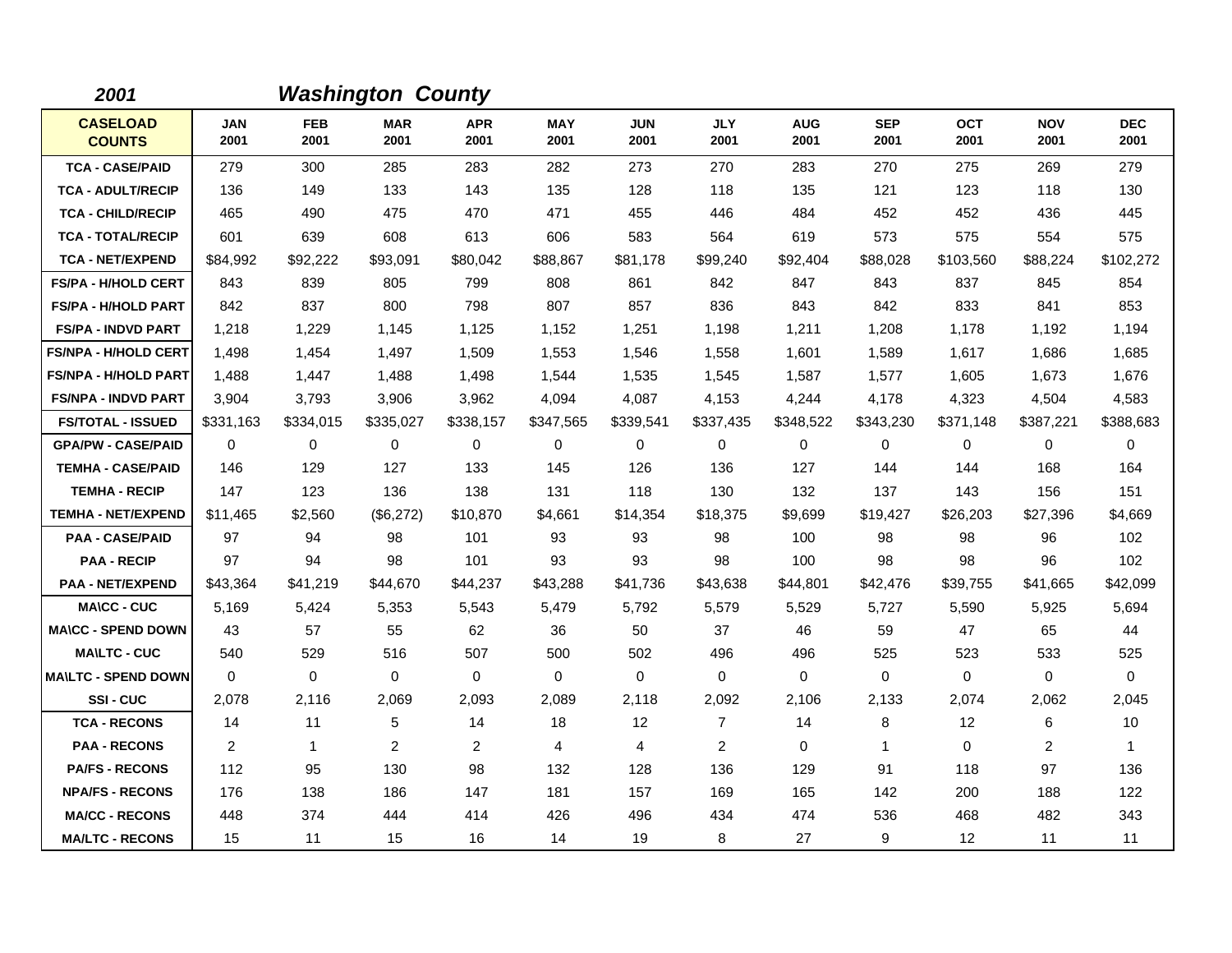| 2001                             |                    |                    | <b>Washington County</b> |                    |                    |                    |                    |                    |                    |                    |                    |                    |
|----------------------------------|--------------------|--------------------|--------------------------|--------------------|--------------------|--------------------|--------------------|--------------------|--------------------|--------------------|--------------------|--------------------|
| <b>CASELOAD</b><br><b>COUNTS</b> | <b>JAN</b><br>2001 | <b>FEB</b><br>2001 | <b>MAR</b><br>2001       | <b>APR</b><br>2001 | <b>MAY</b><br>2001 | <b>JUN</b><br>2001 | <b>JLY</b><br>2001 | <b>AUG</b><br>2001 | <b>SEP</b><br>2001 | <b>OCT</b><br>2001 | <b>NOV</b><br>2001 | <b>DEC</b><br>2001 |
| <b>TCA - CASE/PAID</b>           | 279                | 300                | 285                      | 283                | 282                | 273                | 270                | 283                | 270                | 275                | 269                | 279                |
| <b>TCA - ADULT/RECIP</b>         | 136                | 149                | 133                      | 143                | 135                | 128                | 118                | 135                | 121                | 123                | 118                | 130                |
| <b>TCA - CHILD/RECIP</b>         | 465                | 490                | 475                      | 470                | 471                | 455                | 446                | 484                | 452                | 452                | 436                | 445                |
| <b>TCA - TOTAL/RECIP</b>         | 601                | 639                | 608                      | 613                | 606                | 583                | 564                | 619                | 573                | 575                | 554                | 575                |
| <b>TCA - NET/EXPEND</b>          | \$84,992           | \$92,222           | \$93,091                 | \$80,042           | \$88,867           | \$81,178           | \$99,240           | \$92,404           | \$88,028           | \$103,560          | \$88,224           | \$102,272          |
| <b>FS/PA - H/HOLD CERT</b>       | 843                | 839                | 805                      | 799                | 808                | 861                | 842                | 847                | 843                | 837                | 845                | 854                |
| <b>FS/PA - H/HOLD PART</b>       | 842                | 837                | 800                      | 798                | 807                | 857                | 836                | 843                | 842                | 833                | 841                | 853                |
| <b>FS/PA - INDVD PART</b>        | 1,218              | 1,229              | 1,145                    | 1,125              | 1,152              | 1,251              | 1,198              | 1,211              | 1,208              | 1,178              | 1,192              | 1,194              |
| <b>FS/NPA - H/HOLD CERT</b>      | 1,498              | 1,454              | 1,497                    | 1,509              | 1,553              | 1,546              | 1,558              | 1,601              | 1,589              | 1,617              | 1,686              | 1,685              |
| <b>FS/NPA - H/HOLD PART</b>      | 1,488              | 1.447              | 1,488                    | 1,498              | 1,544              | 1.535              | 1,545              | 1,587              | 1,577              | 1.605              | 1,673              | 1,676              |
| <b>FS/NPA - INDVD PART</b>       | 3,904              | 3,793              | 3,906                    | 3,962              | 4,094              | 4,087              | 4,153              | 4,244              | 4,178              | 4,323              | 4,504              | 4,583              |
| <b>FS/TOTAL - ISSUED</b>         | \$331,163          | \$334,015          | \$335,027                | \$338,157          | \$347,565          | \$339,541          | \$337,435          | \$348,522          | \$343,230          | \$371,148          | \$387,221          | \$388,683          |
| <b>GPA/PW - CASE/PAID</b>        | $\Omega$           | 0                  | 0                        | 0                  | 0                  | 0                  | 0                  | 0                  | 0                  | $\Omega$           | 0                  | 0                  |
| <b>TEMHA - CASE/PAID</b>         | 146                | 129                | 127                      | 133                | 145                | 126                | 136                | 127                | 144                | 144                | 168                | 164                |
| <b>TEMHA - RECIP</b>             | 147                | 123                | 136                      | 138                | 131                | 118                | 130                | 132                | 137                | 143                | 156                | 151                |
| <b>TEMHA - NET/EXPEND</b>        | \$11,465           | \$2,560            | (\$6,272)                | \$10,870           | \$4,661            | \$14,354           | \$18,375           | \$9,699            | \$19,427           | \$26,203           | \$27,396           | \$4,669            |
| <b>PAA - CASE/PAID</b>           | 97                 | 94                 | 98                       | 101                | 93                 | 93                 | 98                 | 100                | 98                 | 98                 | 96                 | 102                |
| <b>PAA - RECIP</b>               | 97                 | 94                 | 98                       | 101                | 93                 | 93                 | 98                 | 100                | 98                 | 98                 | 96                 | 102                |
| <b>PAA - NET/EXPEND</b>          | \$43,364           | \$41,219           | \$44,670                 | \$44,237           | \$43,288           | \$41,736           | \$43,638           | \$44,801           | \$42,476           | \$39,755           | \$41,665           | \$42,099           |
| <b>MA\CC - CUC</b>               | 5,169              | 5,424              | 5,353                    | 5,543              | 5,479              | 5,792              | 5,579              | 5,529              | 5,727              | 5,590              | 5,925              | 5,694              |
| <b>MA\CC - SPEND DOWN</b>        | 43                 | 57                 | 55                       | 62                 | 36                 | 50                 | 37                 | 46                 | 59                 | 47                 | 65                 | 44                 |
| <b>MA\LTC - CUC</b>              | 540                | 529                | 516                      | 507                | 500                | 502                | 496                | 496                | 525                | 523                | 533                | 525                |
| <b>MA\LTC - SPEND DOWN</b>       | $\Omega$           | 0                  | $\mathbf 0$              | $\mathbf{0}$       | $\mathbf 0$        | $\mathbf 0$        | $\mathbf 0$        | 0                  | 0                  | 0                  | 0                  | 0                  |
| SSI-CUC                          | 2,078              | 2,116              | 2,069                    | 2,093              | 2,089              | 2,118              | 2,092              | 2,106              | 2,133              | 2,074              | 2,062              | 2,045              |
| <b>TCA - RECONS</b>              | 14                 | 11                 | 5                        | 14                 | 18                 | 12                 | $\overline{7}$     | 14                 | 8                  | 12                 | 6                  | 10                 |
| <b>PAA - RECONS</b>              | 2                  | $\mathbf{1}$       | $\overline{2}$           | 2                  | 4                  | 4                  | $\overline{2}$     | 0                  | $\mathbf{1}$       | $\Omega$           | 2                  | 1                  |
| <b>PA/FS - RECONS</b>            | 112                | 95                 | 130                      | 98                 | 132                | 128                | 136                | 129                | 91                 | 118                | 97                 | 136                |
| <b>NPA/FS - RECONS</b>           | 176                | 138                | 186                      | 147                | 181                | 157                | 169                | 165                | 142                | 200                | 188                | 122                |
| <b>MA/CC - RECONS</b>            | 448                | 374                | 444                      | 414                | 426                | 496                | 434                | 474                | 536                | 468                | 482                | 343                |
| <b>MA/LTC - RECONS</b>           | 15                 | 11                 | 15                       | 16                 | 14                 | 19                 | 8                  | 27                 | 9                  | 12                 | 11                 | 11                 |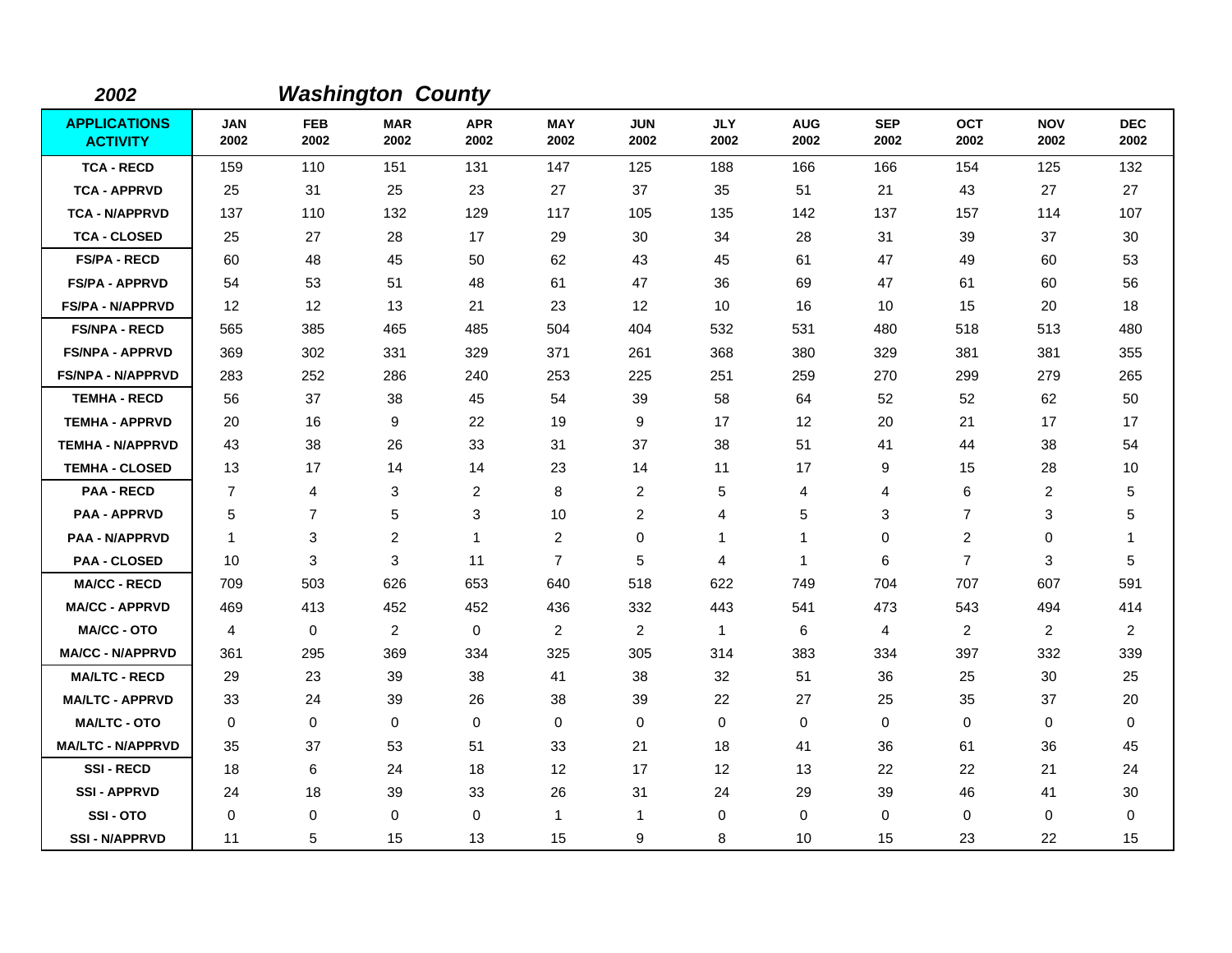| 2002                                   |                    |                    | <b>Washington County</b> |                    |                    |                    |                    |                    |                    |                    |                    |                    |
|----------------------------------------|--------------------|--------------------|--------------------------|--------------------|--------------------|--------------------|--------------------|--------------------|--------------------|--------------------|--------------------|--------------------|
| <b>APPLICATIONS</b><br><b>ACTIVITY</b> | <b>JAN</b><br>2002 | <b>FEB</b><br>2002 | <b>MAR</b><br>2002       | <b>APR</b><br>2002 | <b>MAY</b><br>2002 | <b>JUN</b><br>2002 | <b>JLY</b><br>2002 | <b>AUG</b><br>2002 | <b>SEP</b><br>2002 | <b>OCT</b><br>2002 | <b>NOV</b><br>2002 | <b>DEC</b><br>2002 |
| <b>TCA - RECD</b>                      | 159                | 110                | 151                      | 131                | 147                | 125                | 188                | 166                | 166                | 154                | 125                | 132                |
| <b>TCA - APPRVD</b>                    | 25                 | 31                 | 25                       | 23                 | 27                 | 37                 | 35                 | 51                 | 21                 | 43                 | 27                 | 27                 |
| <b>TCA - N/APPRVD</b>                  | 137                | 110                | 132                      | 129                | 117                | 105                | 135                | 142                | 137                | 157                | 114                | 107                |
| <b>TCA - CLOSED</b>                    | 25                 | 27                 | 28                       | 17                 | 29                 | 30                 | 34                 | 28                 | 31                 | 39                 | 37                 | 30                 |
| <b>FS/PA - RECD</b>                    | 60                 | 48                 | 45                       | 50                 | 62                 | 43                 | 45                 | 61                 | 47                 | 49                 | 60                 | 53                 |
| <b>FS/PA - APPRVD</b>                  | 54                 | 53                 | 51                       | 48                 | 61                 | 47                 | 36                 | 69                 | 47                 | 61                 | 60                 | 56                 |
| <b>FS/PA - N/APPRVD</b>                | 12                 | 12                 | 13                       | 21                 | 23                 | $12 \overline{ }$  | 10                 | 16                 | 10                 | 15                 | 20                 | 18                 |
| <b>FS/NPA - RECD</b>                   | 565                | 385                | 465                      | 485                | 504                | 404                | 532                | 531                | 480                | 518                | 513                | 480                |
| <b>FS/NPA - APPRVD</b>                 | 369                | 302                | 331                      | 329                | 371                | 261                | 368                | 380                | 329                | 381                | 381                | 355                |
| <b>FS/NPA - N/APPRVD</b>               | 283                | 252                | 286                      | 240                | 253                | 225                | 251                | 259                | 270                | 299                | 279                | 265                |
| <b>TEMHA - RECD</b>                    | 56                 | 37                 | 38                       | 45                 | 54                 | 39                 | 58                 | 64                 | 52                 | 52                 | 62                 | 50                 |
| <b>TEMHA - APPRVD</b>                  | 20                 | 16                 | 9                        | 22                 | 19                 | 9                  | 17                 | 12                 | 20                 | 21                 | 17                 | 17                 |
| <b>TEMHA - N/APPRVD</b>                | 43                 | 38                 | 26                       | 33                 | 31                 | 37                 | 38                 | 51                 | 41                 | 44                 | 38                 | 54                 |
| <b>TEMHA - CLOSED</b>                  | 13                 | 17                 | 14                       | 14                 | 23                 | 14                 | 11                 | 17                 | 9                  | 15                 | 28                 | 10                 |
| <b>PAA - RECD</b>                      | $\overline{7}$     | 4                  | 3                        | 2                  | 8                  | $\overline{c}$     | 5                  | 4                  | 4                  | 6                  | 2                  | 5                  |
| <b>PAA - APPRVD</b>                    | 5                  | $\overline{7}$     | 5                        | 3                  | 10                 | $\overline{c}$     | 4                  | 5                  | 3                  | $\overline{7}$     | 3                  | 5                  |
| <b>PAA - N/APPRVD</b>                  | $\mathbf{1}$       | 3                  | $\overline{c}$           | $\mathbf{1}$       | $\overline{c}$     | $\mathbf 0$        | 1                  | 1                  | $\mathbf 0$        | $\overline{c}$     | 0                  | -1                 |
| <b>PAA - CLOSED</b>                    | 10                 | 3                  | 3                        | 11                 | $\overline{7}$     | 5                  | 4                  | 1                  | 6                  | $\overline{7}$     | 3                  | 5                  |
| <b>MA/CC - RECD</b>                    | 709                | 503                | 626                      | 653                | 640                | 518                | 622                | 749                | 704                | 707                | 607                | 591                |
| <b>MA/CC - APPRVD</b>                  | 469                | 413                | 452                      | 452                | 436                | 332                | 443                | 541                | 473                | 543                | 494                | 414                |
| <b>MA/CC - OTO</b>                     | 4                  | $\mathbf 0$        | 2                        | 0                  | 2                  | 2                  | $\mathbf{1}$       | 6                  | 4                  | $\overline{2}$     | $\overline{a}$     | 2                  |
| <b>MA/CC - N/APPRVD</b>                | 361                | 295                | 369                      | 334                | 325                | 305                | 314                | 383                | 334                | 397                | 332                | 339                |
| <b>MA/LTC - RECD</b>                   | 29                 | 23                 | 39                       | 38                 | 41                 | 38                 | 32                 | 51                 | 36                 | 25                 | 30                 | 25                 |
| <b>MA/LTC - APPRVD</b>                 | 33                 | 24                 | 39                       | 26                 | 38                 | 39                 | 22                 | 27                 | 25                 | 35                 | 37                 | 20                 |
| <b>MA/LTC - OTO</b>                    | 0                  | 0                  | $\mathbf 0$              | 0                  | 0                  | $\mathbf 0$        | $\mathbf 0$        | 0                  | $\mathbf 0$        | 0                  | 0                  | 0                  |
| <b>MA/LTC - N/APPRVD</b>               | 35                 | 37                 | 53                       | 51                 | 33                 | 21                 | 18                 | 41                 | 36                 | 61                 | 36                 | 45                 |
| <b>SSI-RECD</b>                        | 18                 | 6                  | 24                       | 18                 | 12                 | 17                 | 12                 | 13                 | 22                 | 22                 | 21                 | 24                 |
| <b>SSI-APPRVD</b>                      | 24                 | 18                 | 39                       | 33                 | 26                 | 31                 | 24                 | 29                 | 39                 | 46                 | 41                 | 30                 |
| SSI-OTO                                | $\Omega$           | $\mathbf 0$        | $\Omega$                 | 0                  | $\mathbf{1}$       | 1                  | $\mathbf 0$        | 0                  | $\Omega$           | 0                  | 0                  | 0                  |
| <b>SSI - N/APPRVD</b>                  | 11                 | 5                  | 15                       | 13                 | 15                 | 9                  | 8                  | 10                 | 15                 | 23                 | 22                 | 15                 |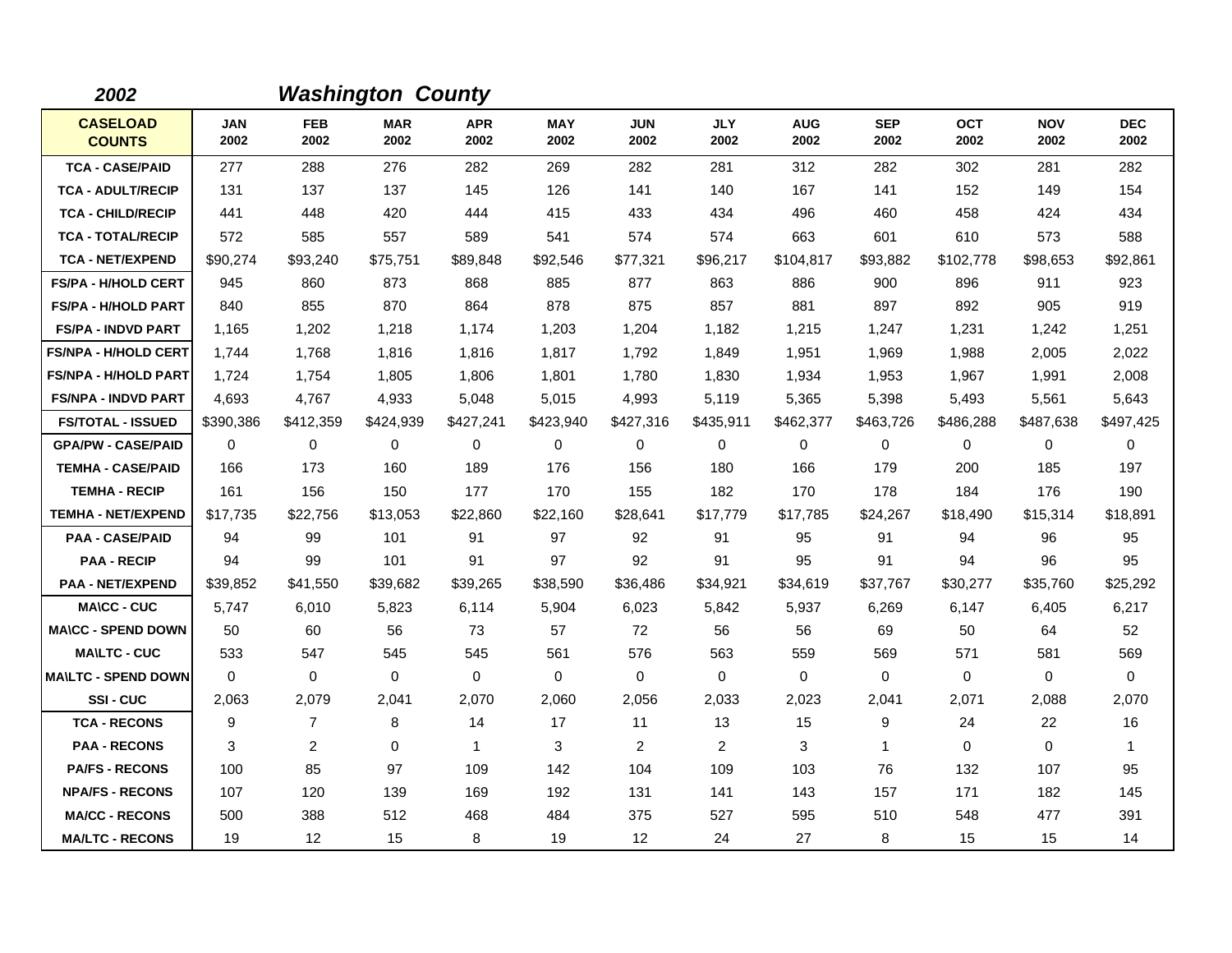| 2002                             |                    |                    | <b>Washington County</b> |                    |                    |                    |                    |                    |                    |                    |                    |                    |
|----------------------------------|--------------------|--------------------|--------------------------|--------------------|--------------------|--------------------|--------------------|--------------------|--------------------|--------------------|--------------------|--------------------|
| <b>CASELOAD</b><br><b>COUNTS</b> | <b>JAN</b><br>2002 | <b>FEB</b><br>2002 | <b>MAR</b><br>2002       | <b>APR</b><br>2002 | <b>MAY</b><br>2002 | <b>JUN</b><br>2002 | <b>JLY</b><br>2002 | <b>AUG</b><br>2002 | <b>SEP</b><br>2002 | <b>OCT</b><br>2002 | <b>NOV</b><br>2002 | <b>DEC</b><br>2002 |
| <b>TCA - CASE/PAID</b>           | 277                | 288                | 276                      | 282                | 269                | 282                | 281                | 312                | 282                | 302                | 281                | 282                |
| <b>TCA - ADULT/RECIP</b>         | 131                | 137                | 137                      | 145                | 126                | 141                | 140                | 167                | 141                | 152                | 149                | 154                |
| <b>TCA - CHILD/RECIP</b>         | 441                | 448                | 420                      | 444                | 415                | 433                | 434                | 496                | 460                | 458                | 424                | 434                |
| <b>TCA - TOTAL/RECIP</b>         | 572                | 585                | 557                      | 589                | 541                | 574                | 574                | 663                | 601                | 610                | 573                | 588                |
| <b>TCA - NET/EXPEND</b>          | \$90,274           | \$93,240           | \$75,751                 | \$89,848           | \$92,546           | \$77,321           | \$96,217           | \$104,817          | \$93,882           | \$102,778          | \$98,653           | \$92,861           |
| <b>FS/PA - H/HOLD CERT</b>       | 945                | 860                | 873                      | 868                | 885                | 877                | 863                | 886                | 900                | 896                | 911                | 923                |
| <b>FS/PA - H/HOLD PART</b>       | 840                | 855                | 870                      | 864                | 878                | 875                | 857                | 881                | 897                | 892                | 905                | 919                |
| <b>FS/PA - INDVD PART</b>        | 1,165              | 1,202              | 1,218                    | 1,174              | 1,203              | 1,204              | 1,182              | 1,215              | 1,247              | 1,231              | 1,242              | 1,251              |
| <b>FS/NPA - H/HOLD CERT</b>      | 1,744              | 1,768              | 1,816                    | 1,816              | 1,817              | 1,792              | 1,849              | 1,951              | 1,969              | 1,988              | 2,005              | 2,022              |
| <b>FS/NPA - H/HOLD PART</b>      | 1,724              | 1,754              | 1,805                    | 1,806              | 1,801              | 1,780              | 1,830              | 1,934              | 1,953              | 1,967              | 1,991              | 2,008              |
| <b>FS/NPA - INDVD PART</b>       | 4,693              | 4.767              | 4,933                    | 5,048              | 5,015              | 4,993              | 5,119              | 5,365              | 5,398              | 5,493              | 5,561              | 5,643              |
| <b>FS/TOTAL - ISSUED</b>         | \$390,386          | \$412,359          | \$424,939                | \$427,241          | \$423,940          | \$427,316          | \$435,911          | \$462,377          | \$463,726          | \$486,288          | \$487,638          | \$497,425          |
| <b>GPA/PW - CASE/PAID</b>        | 0                  | 0                  | $\mathbf 0$              | 0                  | $\mathbf 0$        | 0                  | $\mathbf 0$        | 0                  | 0                  | 0                  | 0                  | 0                  |
| <b>TEMHA - CASE/PAID</b>         | 166                | 173                | 160                      | 189                | 176                | 156                | 180                | 166                | 179                | 200                | 185                | 197                |
| <b>TEMHA - RECIP</b>             | 161                | 156                | 150                      | 177                | 170                | 155                | 182                | 170                | 178                | 184                | 176                | 190                |
| <b>TEMHA - NET/EXPEND</b>        | \$17,735           | \$22,756           | \$13,053                 | \$22,860           | \$22,160           | \$28,641           | \$17,779           | \$17,785           | \$24,267           | \$18,490           | \$15,314           | \$18,891           |
| <b>PAA - CASE/PAID</b>           | 94                 | 99                 | 101                      | 91                 | 97                 | 92                 | 91                 | 95                 | 91                 | 94                 | 96                 | 95                 |
| <b>PAA - RECIP</b>               | 94                 | 99                 | 101                      | 91                 | 97                 | 92                 | 91                 | 95                 | 91                 | 94                 | 96                 | 95                 |
| <b>PAA - NET/EXPEND</b>          | \$39,852           | \$41,550           | \$39,682                 | \$39,265           | \$38,590           | \$36,486           | \$34,921           | \$34,619           | \$37,767           | \$30,277           | \$35,760           | \$25,292           |
| <b>MA\CC - CUC</b>               | 5.747              | 6,010              | 5,823                    | 6,114              | 5,904              | 6,023              | 5,842              | 5,937              | 6,269              | 6,147              | 6,405              | 6,217              |
| <b>MA\CC - SPEND DOWN</b>        | 50                 | 60                 | 56                       | 73                 | 57                 | 72                 | 56                 | 56                 | 69                 | 50                 | 64                 | 52                 |
| <b>MA\LTC - CUC</b>              | 533                | 547                | 545                      | 545                | 561                | 576                | 563                | 559                | 569                | 571                | 581                | 569                |
| <b>MA\LTC - SPEND DOWN</b>       | 0                  | $\mathbf 0$        | $\mathbf 0$              | $\mathbf 0$        | $\mathbf 0$        | $\mathbf 0$        | $\mathbf 0$        | $\mathbf 0$        | $\mathbf 0$        | 0                  | 0                  | 0                  |
| SSI-CUC                          | 2,063              | 2,079              | 2,041                    | 2,070              | 2,060              | 2,056              | 2,033              | 2,023              | 2,041              | 2,071              | 2,088              | 2,070              |
| <b>TCA - RECONS</b>              | 9                  | $\overline{7}$     | 8                        | 14                 | 17                 | 11                 | 13                 | 15                 | 9                  | 24                 | 22                 | 16                 |
| <b>PAA - RECONS</b>              | 3                  | 2                  | $\mathbf 0$              | $\mathbf{1}$       | 3                  | 2                  | 2                  | 3                  | $\mathbf{1}$       | 0                  | $\mathbf 0$        | $\mathbf{1}$       |
| <b>PA/FS - RECONS</b>            | 100                | 85                 | 97                       | 109                | 142                | 104                | 109                | 103                | 76                 | 132                | 107                | 95                 |
| <b>NPA/FS - RECONS</b>           | 107                | 120                | 139                      | 169                | 192                | 131                | 141                | 143                | 157                | 171                | 182                | 145                |
| <b>MA/CC - RECONS</b>            | 500                | 388                | 512                      | 468                | 484                | 375                | 527                | 595                | 510                | 548                | 477                | 391                |
| <b>MA/LTC - RECONS</b>           | 19                 | 12                 | 15                       | 8                  | 19                 | 12                 | 24                 | 27                 | 8                  | 15                 | 15                 | 14                 |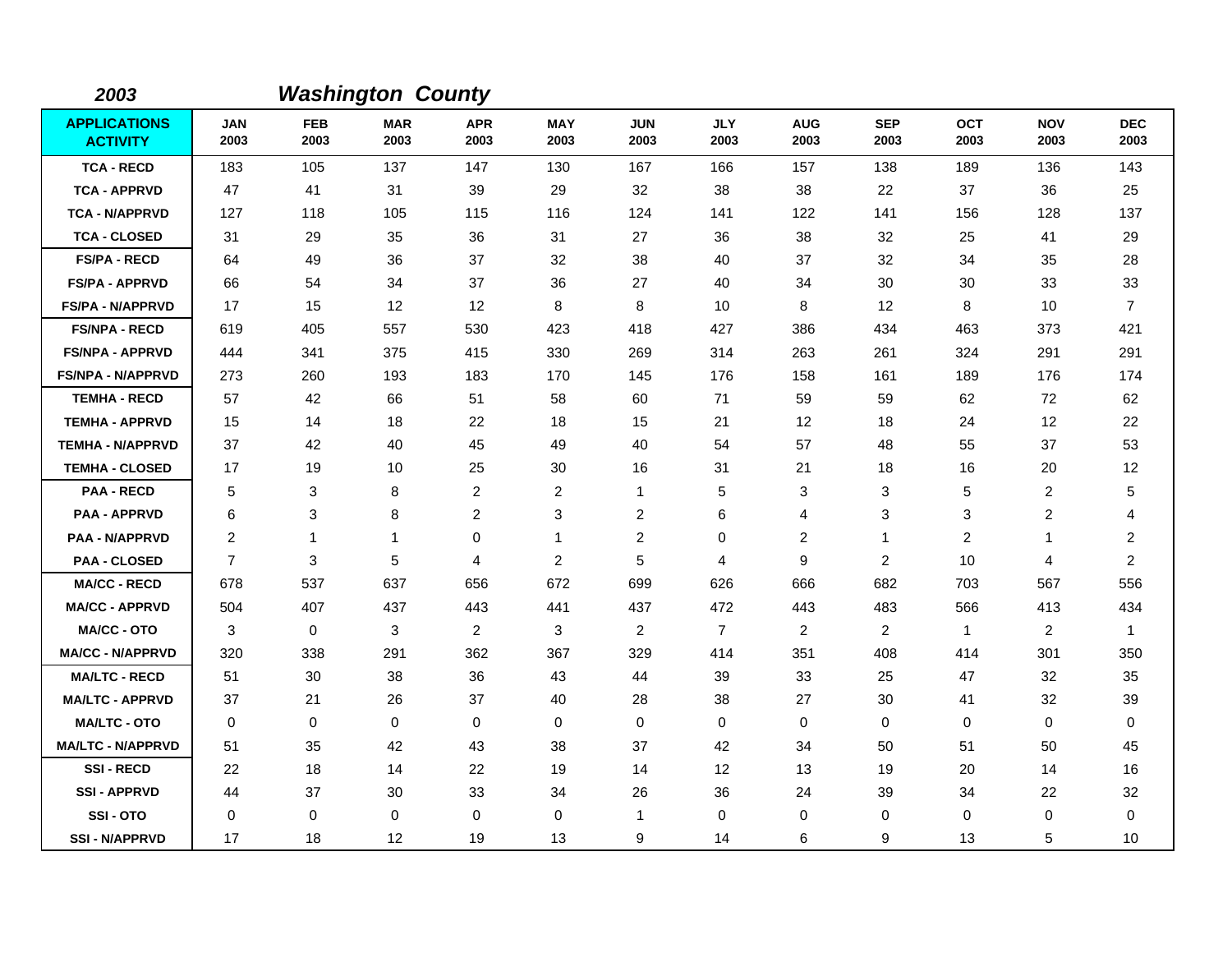| 2003                                   |                    |                    | <b>Washington County</b> |                    |                    |                    |                    |                    |                    |                    |                         |                    |
|----------------------------------------|--------------------|--------------------|--------------------------|--------------------|--------------------|--------------------|--------------------|--------------------|--------------------|--------------------|-------------------------|--------------------|
| <b>APPLICATIONS</b><br><b>ACTIVITY</b> | <b>JAN</b><br>2003 | <b>FEB</b><br>2003 | <b>MAR</b><br>2003       | <b>APR</b><br>2003 | <b>MAY</b><br>2003 | <b>JUN</b><br>2003 | <b>JLY</b><br>2003 | <b>AUG</b><br>2003 | <b>SEP</b><br>2003 | <b>OCT</b><br>2003 | <b>NOV</b><br>2003      | <b>DEC</b><br>2003 |
| <b>TCA - RECD</b>                      | 183                | 105                | 137                      | 147                | 130                | 167                | 166                | 157                | 138                | 189                | 136                     | 143                |
| <b>TCA - APPRVD</b>                    | 47                 | 41                 | 31                       | 39                 | 29                 | 32                 | 38                 | 38                 | 22                 | 37                 | 36                      | 25                 |
| <b>TCA - N/APPRVD</b>                  | 127                | 118                | 105                      | 115                | 116                | 124                | 141                | 122                | 141                | 156                | 128                     | 137                |
| <b>TCA - CLOSED</b>                    | 31                 | 29                 | 35                       | 36                 | 31                 | 27                 | 36                 | 38                 | 32                 | 25                 | 41                      | 29                 |
| <b>FS/PA - RECD</b>                    | 64                 | 49                 | 36                       | 37                 | 32                 | 38                 | 40                 | 37                 | 32                 | 34                 | 35                      | 28                 |
| <b>FS/PA - APPRVD</b>                  | 66                 | 54                 | 34                       | 37                 | 36                 | 27                 | 40                 | 34                 | 30                 | 30                 | 33                      | 33                 |
| <b>FS/PA - N/APPRVD</b>                | 17                 | 15                 | 12                       | 12                 | 8                  | 8                  | 10                 | 8                  | 12                 | 8                  | 10                      | $\overline{7}$     |
| <b>FS/NPA - RECD</b>                   | 619                | 405                | 557                      | 530                | 423                | 418                | 427                | 386                | 434                | 463                | 373                     | 421                |
| <b>FS/NPA - APPRVD</b>                 | 444                | 341                | 375                      | 415                | 330                | 269                | 314                | 263                | 261                | 324                | 291                     | 291                |
| <b>FS/NPA - N/APPRVD</b>               | 273                | 260                | 193                      | 183                | 170                | 145                | 176                | 158                | 161                | 189                | 176                     | 174                |
| <b>TEMHA - RECD</b>                    | 57                 | 42                 | 66                       | 51                 | 58                 | 60                 | 71                 | 59                 | 59                 | 62                 | 72                      | 62                 |
| <b>TEMHA - APPRVD</b>                  | 15                 | 14                 | 18                       | 22                 | 18                 | 15                 | 21                 | 12                 | 18                 | 24                 | 12                      | 22                 |
| <b>TEMHA - N/APPRVD</b>                | 37                 | 42                 | 40                       | 45                 | 49                 | 40                 | 54                 | 57                 | 48                 | 55                 | 37                      | 53                 |
| <b>TEMHA - CLOSED</b>                  | 17                 | 19                 | 10                       | 25                 | 30                 | 16                 | 31                 | 21                 | 18                 | 16                 | 20                      | 12                 |
| <b>PAA - RECD</b>                      | 5                  | 3                  | 8                        | 2                  | $\overline{2}$     | 1                  | 5                  | 3                  | 3                  | 5                  | $\overline{c}$          | 5                  |
| <b>PAA - APPRVD</b>                    | 6                  | 3                  | 8                        | 2                  | 3                  | $\overline{c}$     | 6                  | 4                  | 3                  | 3                  | $\overline{\mathbf{c}}$ | 4                  |
| <b>PAA - N/APPRVD</b>                  | 2                  | 1                  | $\overline{1}$           | 0                  | $\mathbf{1}$       | $\overline{2}$     | $\mathbf 0$        | 2                  | $\mathbf 1$        | $\overline{2}$     | 1                       | $\overline{2}$     |
| <b>PAA - CLOSED</b>                    | $\overline{7}$     | 3                  | $\sqrt{5}$               | 4                  | $\overline{c}$     | 5                  | 4                  | 9                  | $\overline{c}$     | 10                 | 4                       | $\overline{c}$     |
| <b>MA/CC - RECD</b>                    | 678                | 537                | 637                      | 656                | 672                | 699                | 626                | 666                | 682                | 703                | 567                     | 556                |
| <b>MA/CC - APPRVD</b>                  | 504                | 407                | 437                      | 443                | 441                | 437                | 472                | 443                | 483                | 566                | 413                     | 434                |
| <b>MA/CC - OTO</b>                     | 3                  | $\mathbf 0$        | 3                        | $\overline{2}$     | 3                  | 2                  | $\overline{7}$     | $\overline{c}$     | $\overline{2}$     | $\mathbf{1}$       | $\overline{2}$          | $\overline{1}$     |
| <b>MA/CC - N/APPRVD</b>                | 320                | 338                | 291                      | 362                | 367                | 329                | 414                | 351                | 408                | 414                | 301                     | 350                |
| <b>MA/LTC - RECD</b>                   | 51                 | 30                 | 38                       | 36                 | 43                 | 44                 | 39                 | 33                 | 25                 | 47                 | 32                      | 35                 |
| <b>MA/LTC - APPRVD</b>                 | 37                 | 21                 | 26                       | 37                 | 40                 | 28                 | 38                 | 27                 | 30                 | 41                 | 32                      | 39                 |
| <b>MA/LTC - OTO</b>                    | 0                  | 0                  | 0                        | 0                  | 0                  | $\mathbf 0$        | 0                  | 0                  | $\mathbf 0$        | 0                  | 0                       | 0                  |
| <b>MA/LTC - N/APPRVD</b>               | 51                 | 35                 | 42                       | 43                 | 38                 | 37                 | 42                 | 34                 | 50                 | 51                 | 50                      | 45                 |
| <b>SSI-RECD</b>                        | 22                 | 18                 | 14                       | 22                 | 19                 | 14                 | $12 \overline{ }$  | 13                 | 19                 | 20                 | 14                      | 16                 |
| <b>SSI-APPRVD</b>                      | 44                 | 37                 | 30                       | 33                 | 34                 | 26                 | 36                 | 24                 | 39                 | 34                 | 22                      | 32                 |
| SSI-OTO                                | 0                  | 0                  | $\mathbf 0$              | 0                  | 0                  | 1                  | $\mathbf 0$        | 0                  | 0                  | 0                  | 0                       | 0                  |
| <b>SSI-N/APPRVD</b>                    | 17                 | 18                 | 12                       | 19                 | 13                 | 9                  | 14                 | 6                  | 9                  | 13                 | 5                       | 10                 |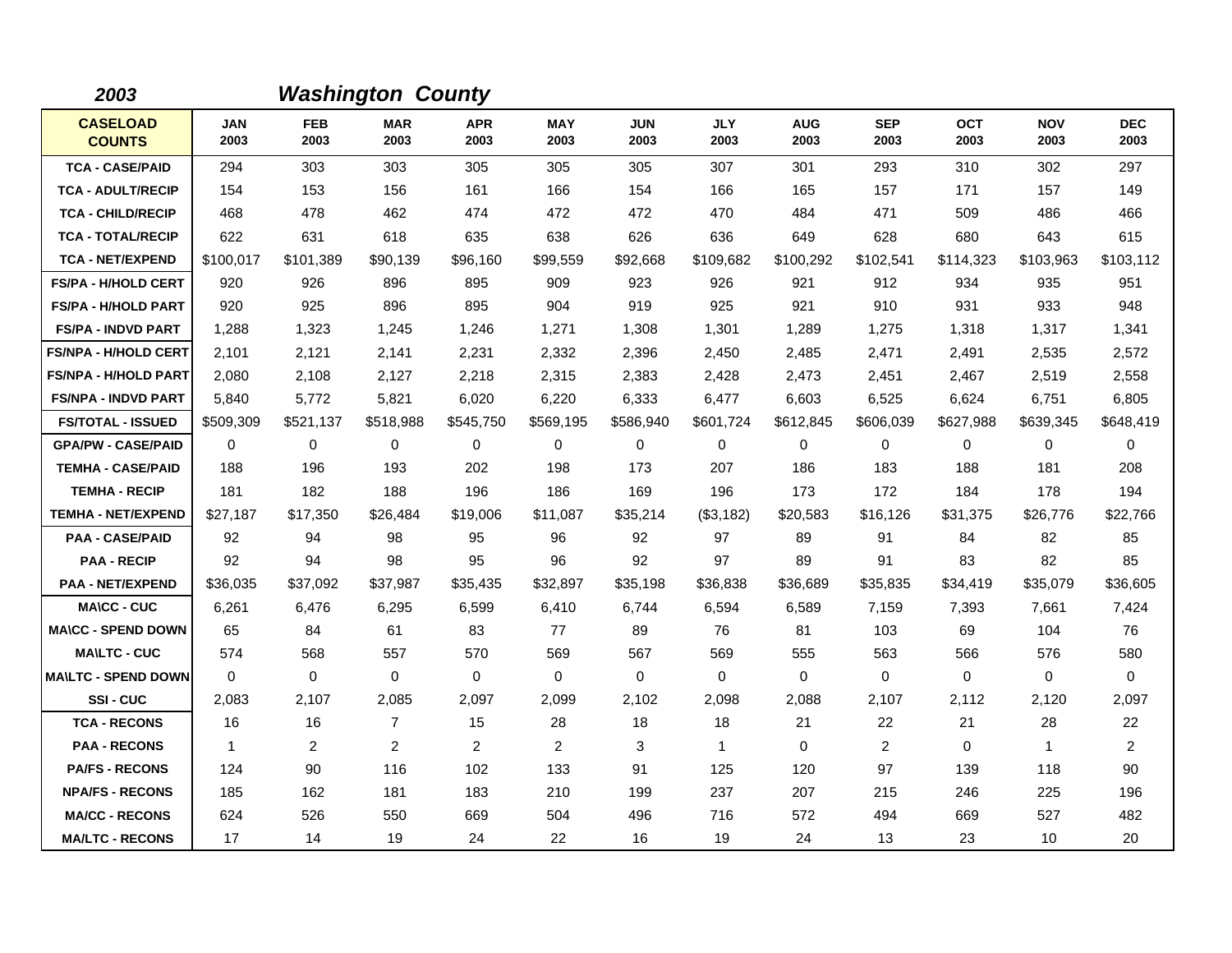| 2003                             |                    |                    | <b>Washington County</b> |                    |                    |                    |                    |                    |                    |                    |                    |                    |
|----------------------------------|--------------------|--------------------|--------------------------|--------------------|--------------------|--------------------|--------------------|--------------------|--------------------|--------------------|--------------------|--------------------|
| <b>CASELOAD</b><br><b>COUNTS</b> | <b>JAN</b><br>2003 | <b>FEB</b><br>2003 | <b>MAR</b><br>2003       | <b>APR</b><br>2003 | <b>MAY</b><br>2003 | <b>JUN</b><br>2003 | <b>JLY</b><br>2003 | <b>AUG</b><br>2003 | <b>SEP</b><br>2003 | <b>OCT</b><br>2003 | <b>NOV</b><br>2003 | <b>DEC</b><br>2003 |
| <b>TCA - CASE/PAID</b>           | 294                | 303                | 303                      | 305                | 305                | 305                | 307                | 301                | 293                | 310                | 302                | 297                |
| <b>TCA - ADULT/RECIP</b>         | 154                | 153                | 156                      | 161                | 166                | 154                | 166                | 165                | 157                | 171                | 157                | 149                |
| <b>TCA - CHILD/RECIP</b>         | 468                | 478                | 462                      | 474                | 472                | 472                | 470                | 484                | 471                | 509                | 486                | 466                |
| <b>TCA - TOTAL/RECIP</b>         | 622                | 631                | 618                      | 635                | 638                | 626                | 636                | 649                | 628                | 680                | 643                | 615                |
| <b>TCA - NET/EXPEND</b>          | \$100,017          | \$101,389          | \$90,139                 | \$96,160           | \$99,559           | \$92,668           | \$109,682          | \$100,292          | \$102,541          | \$114,323          | \$103,963          | \$103,112          |
| <b>FS/PA - H/HOLD CERT</b>       | 920                | 926                | 896                      | 895                | 909                | 923                | 926                | 921                | 912                | 934                | 935                | 951                |
| <b>FS/PA - H/HOLD PART</b>       | 920                | 925                | 896                      | 895                | 904                | 919                | 925                | 921                | 910                | 931                | 933                | 948                |
| <b>FS/PA - INDVD PART</b>        | 1,288              | 1,323              | 1,245                    | 1,246              | 1,271              | 1,308              | 1,301              | 1,289              | 1,275              | 1,318              | 1,317              | 1,341              |
| <b>FS/NPA - H/HOLD CERT</b>      | 2,101              | 2,121              | 2,141                    | 2,231              | 2,332              | 2,396              | 2,450              | 2,485              | 2,471              | 2,491              | 2,535              | 2,572              |
| <b>FS/NPA - H/HOLD PART</b>      | 2,080              | 2,108              | 2,127                    | 2,218              | 2,315              | 2,383              | 2,428              | 2,473              | 2,451              | 2,467              | 2,519              | 2,558              |
| <b>FS/NPA - INDVD PART</b>       | 5,840              | 5,772              | 5,821                    | 6,020              | 6,220              | 6,333              | 6,477              | 6,603              | 6,525              | 6,624              | 6,751              | 6,805              |
| <b>FS/TOTAL - ISSUED</b>         | \$509,309          | \$521,137          | \$518,988                | \$545,750          | \$569,195          | \$586,940          | \$601,724          | \$612,845          | \$606,039          | \$627,988          | \$639,345          | \$648,419          |
| <b>GPA/PW - CASE/PAID</b>        | $\mathbf 0$        | 0                  | 0                        | 0                  | 0                  | 0                  | 0                  | 0                  | 0                  | 0                  | $\mathbf 0$        | 0                  |
| <b>TEMHA - CASE/PAID</b>         | 188                | 196                | 193                      | 202                | 198                | 173                | 207                | 186                | 183                | 188                | 181                | 208                |
| <b>TEMHA - RECIP</b>             | 181                | 182                | 188                      | 196                | 186                | 169                | 196                | 173                | 172                | 184                | 178                | 194                |
| <b>TEMHA - NET/EXPEND</b>        | \$27,187           | \$17,350           | \$26,484                 | \$19,006           | \$11,087           | \$35,214           | (\$3,182)          | \$20,583           | \$16,126           | \$31,375           | \$26,776           | \$22,766           |
| <b>PAA - CASE/PAID</b>           | 92                 | 94                 | 98                       | 95                 | 96                 | 92                 | 97                 | 89                 | 91                 | 84                 | 82                 | 85                 |
| <b>PAA - RECIP</b>               | 92                 | 94                 | 98                       | 95                 | 96                 | 92                 | 97                 | 89                 | 91                 | 83                 | 82                 | 85                 |
| <b>PAA - NET/EXPEND</b>          | \$36,035           | \$37,092           | \$37,987                 | \$35,435           | \$32,897           | \$35,198           | \$36,838           | \$36,689           | \$35,835           | \$34,419           | \$35,079           | \$36,605           |
| <b>MA\CC - CUC</b>               | 6,261              | 6,476              | 6,295                    | 6,599              | 6,410              | 6,744              | 6,594              | 6,589              | 7,159              | 7,393              | 7,661              | 7,424              |
| <b>MA\CC - SPEND DOWN</b>        | 65                 | 84                 | 61                       | 83                 | 77                 | 89                 | 76                 | 81                 | 103                | 69                 | 104                | 76                 |
| <b>MAILTC - CUC</b>              | 574                | 568                | 557                      | 570                | 569                | 567                | 569                | 555                | 563                | 566                | 576                | 580                |
| <b>MA\LTC - SPEND DOWN</b>       | $\mathbf 0$        | 0                  | $\mathbf 0$              | 0                  | $\mathbf 0$        | $\mathbf 0$        | $\mathbf 0$        | $\mathbf 0$        | $\mathbf 0$        | 0                  | $\mathbf 0$        | 0                  |
| SSI-CUC                          | 2,083              | 2,107              | 2,085                    | 2,097              | 2,099              | 2,102              | 2,098              | 2,088              | 2,107              | 2,112              | 2,120              | 2,097              |
| <b>TCA - RECONS</b>              | 16                 | 16                 | $\overline{7}$           | 15                 | 28                 | 18                 | 18                 | 21                 | 22                 | 21                 | 28                 | 22                 |
| <b>PAA - RECONS</b>              | $\overline{1}$     | $\overline{2}$     | $\overline{2}$           | $\overline{2}$     | 2                  | 3                  | $\mathbf{1}$       | 0                  | 2                  | 0                  | $\mathbf{1}$       | $\overline{2}$     |
| <b>PA/FS - RECONS</b>            | 124                | 90                 | 116                      | 102                | 133                | 91                 | 125                | 120                | 97                 | 139                | 118                | 90                 |
| <b>NPA/FS - RECONS</b>           | 185                | 162                | 181                      | 183                | 210                | 199                | 237                | 207                | 215                | 246                | 225                | 196                |
| <b>MA/CC - RECONS</b>            | 624                | 526                | 550                      | 669                | 504                | 496                | 716                | 572                | 494                | 669                | 527                | 482                |
| <b>MA/LTC - RECONS</b>           | 17                 | 14                 | 19                       | 24                 | 22                 | 16                 | 19                 | 24                 | 13                 | 23                 | 10                 | 20                 |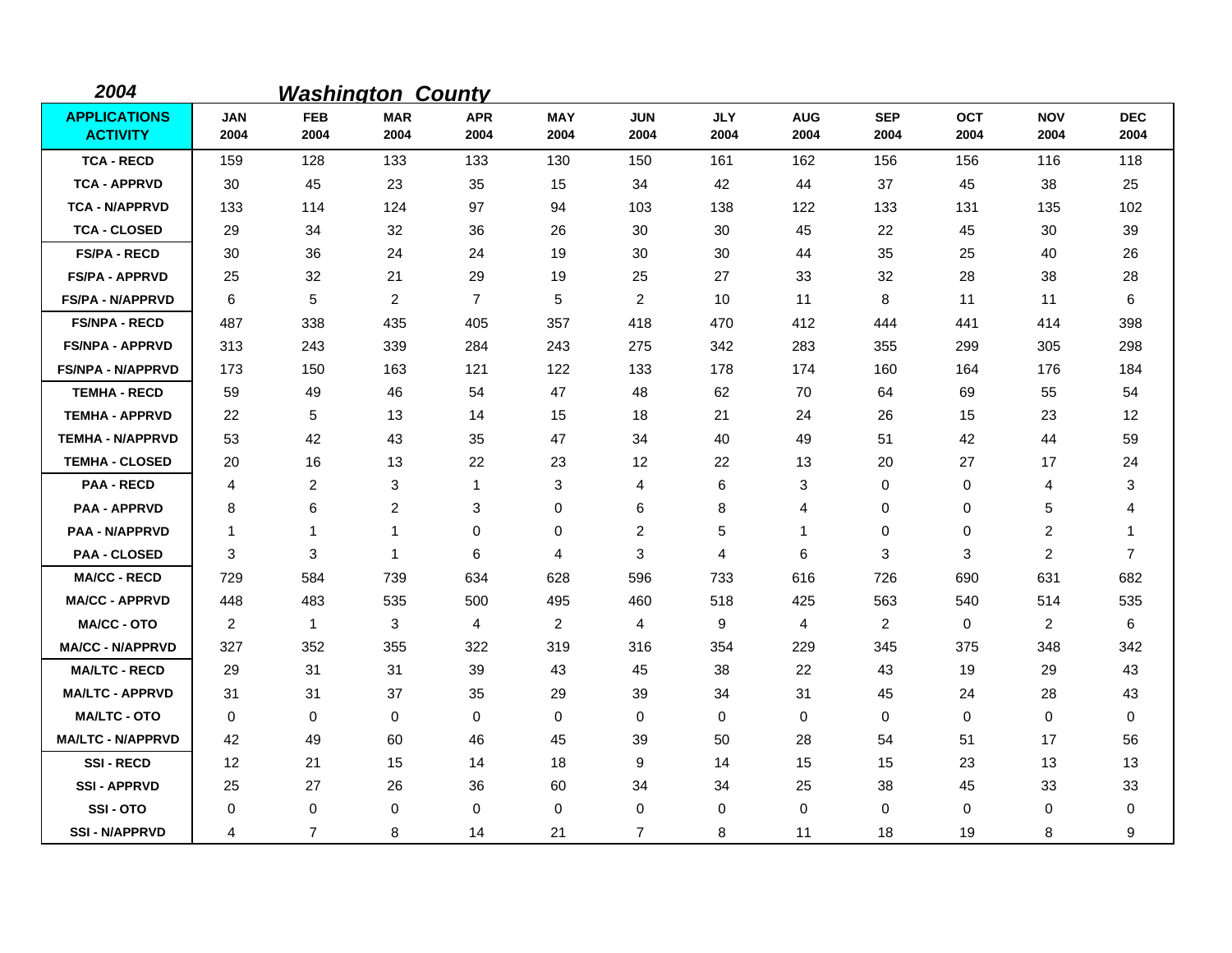| 2004                                   |                    |                    | <b>Washington County</b> |                    |                    |                    |                    |                    |                    |                    |                    |                    |
|----------------------------------------|--------------------|--------------------|--------------------------|--------------------|--------------------|--------------------|--------------------|--------------------|--------------------|--------------------|--------------------|--------------------|
| <b>APPLICATIONS</b><br><b>ACTIVITY</b> | <b>JAN</b><br>2004 | <b>FEB</b><br>2004 | <b>MAR</b><br>2004       | <b>APR</b><br>2004 | <b>MAY</b><br>2004 | <b>JUN</b><br>2004 | <b>JLY</b><br>2004 | <b>AUG</b><br>2004 | <b>SEP</b><br>2004 | <b>OCT</b><br>2004 | <b>NOV</b><br>2004 | <b>DEC</b><br>2004 |
| <b>TCA - RECD</b>                      | 159                | 128                | 133                      | 133                | 130                | 150                | 161                | 162                | 156                | 156                | 116                | 118                |
| <b>TCA - APPRVD</b>                    | 30                 | 45                 | 23                       | 35                 | 15                 | 34                 | 42                 | 44                 | 37                 | 45                 | 38                 | 25                 |
| <b>TCA - N/APPRVD</b>                  | 133                | 114                | 124                      | 97                 | 94                 | 103                | 138                | 122                | 133                | 131                | 135                | 102                |
| <b>TCA - CLOSED</b>                    | 29                 | 34                 | 32                       | 36                 | 26                 | 30                 | 30                 | 45                 | 22                 | 45                 | 30                 | 39                 |
| <b>FS/PA - RECD</b>                    | 30                 | 36                 | 24                       | 24                 | 19                 | 30                 | 30                 | 44                 | 35                 | 25                 | 40                 | 26                 |
| <b>FS/PA - APPRVD</b>                  | 25                 | 32                 | 21                       | 29                 | 19                 | 25                 | 27                 | 33                 | 32                 | 28                 | 38                 | 28                 |
| <b>FS/PA - N/APPRVD</b>                | 6                  | 5                  | $\overline{2}$           | $\overline{7}$     | 5                  | 2                  | 10                 | 11                 | 8                  | 11                 | 11                 | 6                  |
| <b>FS/NPA - RECD</b>                   | 487                | 338                | 435                      | 405                | 357                | 418                | 470                | 412                | 444                | 441                | 414                | 398                |
| <b>FS/NPA - APPRVD</b>                 | 313                | 243                | 339                      | 284                | 243                | 275                | 342                | 283                | 355                | 299                | 305                | 298                |
| <b>FS/NPA - N/APPRVD</b>               | 173                | 150                | 163                      | 121                | 122                | 133                | 178                | 174                | 160                | 164                | 176                | 184                |
| <b>TEMHA - RECD</b>                    | 59                 | 49                 | 46                       | 54                 | 47                 | 48                 | 62                 | 70                 | 64                 | 69                 | 55                 | 54                 |
| <b>TEMHA - APPRVD</b>                  | 22                 | 5                  | 13                       | 14                 | 15                 | 18                 | 21                 | 24                 | 26                 | 15                 | 23                 | 12                 |
| <b>TEMHA - N/APPRVD</b>                | 53                 | 42                 | 43                       | 35                 | 47                 | 34                 | 40                 | 49                 | 51                 | 42                 | 44                 | 59                 |
| <b>TEMHA - CLOSED</b>                  | 20                 | 16                 | 13                       | 22                 | 23                 | 12                 | 22                 | 13                 | 20                 | 27                 | 17                 | 24                 |
| <b>PAA - RECD</b>                      | 4                  | 2                  | 3                        | 1                  | 3                  | 4                  | 6                  | 3                  | $\mathbf 0$        | 0                  | 4                  | 3                  |
| <b>PAA - APPRVD</b>                    | 8                  | 6                  | $\overline{c}$           | 3                  | 0                  | 6                  | 8                  | 4                  | 0                  | 0                  | 5                  | 4                  |
| <b>PAA - N/APPRVD</b>                  | $\mathbf{1}$       | $\mathbf 1$        | 1                        | 0                  | 0                  | $\overline{c}$     | 5                  | $\mathbf 1$        | 0                  | 0                  | 2                  | -1                 |
| <b>PAA - CLOSED</b>                    | 3                  | 3                  | $\mathbf 1$              | 6                  | 4                  | 3                  | 4                  | 6                  | 3                  | 3                  | $\overline{2}$     | 7                  |
| <b>MA/CC - RECD</b>                    | 729                | 584                | 739                      | 634                | 628                | 596                | 733                | 616                | 726                | 690                | 631                | 682                |
| <b>MA/CC - APPRVD</b>                  | 448                | 483                | 535                      | 500                | 495                | 460                | 518                | 425                | 563                | 540                | 514                | 535                |
| <b>MA/CC - OTO</b>                     | $\overline{2}$     | 1                  | 3                        | 4                  | $\overline{2}$     | 4                  | 9                  | 4                  | $\overline{2}$     | 0                  | $\overline{2}$     | 6                  |
| <b>MA/CC - N/APPRVD</b>                | 327                | 352                | 355                      | 322                | 319                | 316                | 354                | 229                | 345                | 375                | 348                | 342                |
| <b>MA/LTC - RECD</b>                   | 29                 | 31                 | 31                       | 39                 | 43                 | 45                 | 38                 | 22                 | 43                 | 19                 | 29                 | 43                 |
| <b>MA/LTC - APPRVD</b>                 | 31                 | 31                 | 37                       | 35                 | 29                 | 39                 | 34                 | 31                 | 45                 | 24                 | 28                 | 43                 |
| <b>MA/LTC - OTO</b>                    | 0                  | 0                  | $\mathbf 0$              | 0                  | 0                  | $\mathbf 0$        | 0                  | 0                  | 0                  | $\mathbf 0$        | 0                  | 0                  |
| <b>MA/LTC - N/APPRVD</b>               | 42                 | 49                 | 60                       | 46                 | 45                 | 39                 | 50                 | 28                 | 54                 | 51                 | 17                 | 56                 |
| <b>SSI-RECD</b>                        | 12                 | 21                 | 15                       | 14                 | 18                 | 9                  | 14                 | 15                 | 15                 | 23                 | 13                 | 13                 |
| <b>SSI-APPRVD</b>                      | 25                 | 27                 | 26                       | 36                 | 60                 | 34                 | 34                 | 25                 | 38                 | 45                 | 33                 | 33                 |
| SSI-OTO                                | 0                  | 0                  | $\mathbf 0$              | 0                  | 0                  | 0                  | 0                  | 0                  | $\Omega$           | 0                  | 0                  | 0                  |
| <b>SSI-N/APPRVD</b>                    | 4                  | $\overline{7}$     | 8                        | 14                 | 21                 | $\overline{7}$     | 8                  | 11                 | 18                 | 19                 | 8                  | 9                  |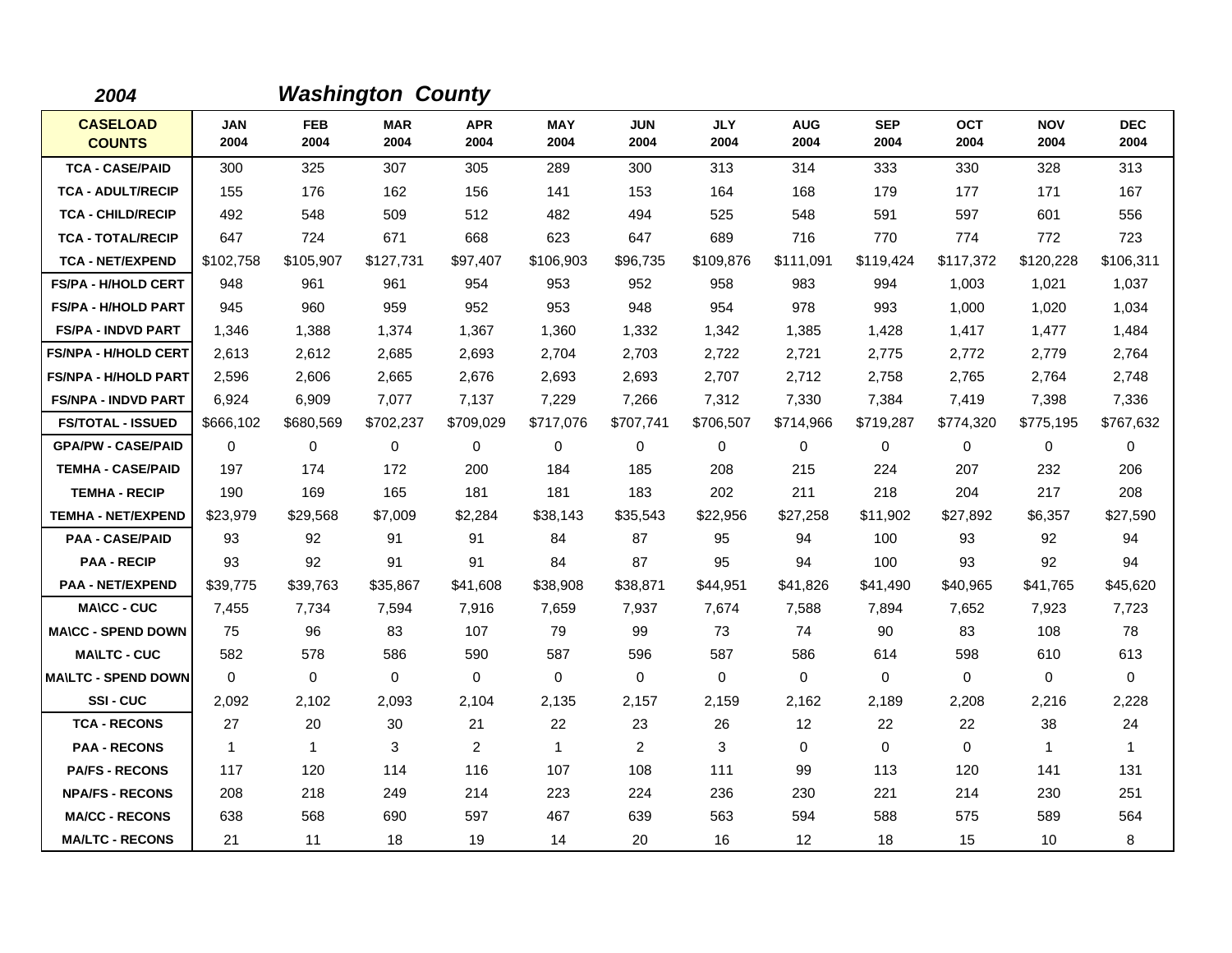| 2004                             |                    |                    | <b>Washington County</b> |                    |                    |                    |                    |                    |                    |                    |                    |                    |
|----------------------------------|--------------------|--------------------|--------------------------|--------------------|--------------------|--------------------|--------------------|--------------------|--------------------|--------------------|--------------------|--------------------|
| <b>CASELOAD</b><br><b>COUNTS</b> | <b>JAN</b><br>2004 | <b>FEB</b><br>2004 | <b>MAR</b><br>2004       | <b>APR</b><br>2004 | <b>MAY</b><br>2004 | <b>JUN</b><br>2004 | <b>JLY</b><br>2004 | <b>AUG</b><br>2004 | <b>SEP</b><br>2004 | <b>OCT</b><br>2004 | <b>NOV</b><br>2004 | <b>DEC</b><br>2004 |
| <b>TCA - CASE/PAID</b>           | 300                | 325                | 307                      | 305                | 289                | 300                | 313                | 314                | 333                | 330                | 328                | 313                |
| <b>TCA - ADULT/RECIP</b>         | 155                | 176                | 162                      | 156                | 141                | 153                | 164                | 168                | 179                | 177                | 171                | 167                |
| <b>TCA - CHILD/RECIP</b>         | 492                | 548                | 509                      | 512                | 482                | 494                | 525                | 548                | 591                | 597                | 601                | 556                |
| <b>TCA - TOTAL/RECIP</b>         | 647                | 724                | 671                      | 668                | 623                | 647                | 689                | 716                | 770                | 774                | 772                | 723                |
| <b>TCA - NET/EXPEND</b>          | \$102,758          | \$105,907          | \$127,731                | \$97,407           | \$106,903          | \$96,735           | \$109,876          | \$111,091          | \$119,424          | \$117,372          | \$120,228          | \$106,311          |
| <b>FS/PA - H/HOLD CERT</b>       | 948                | 961                | 961                      | 954                | 953                | 952                | 958                | 983                | 994                | 1,003              | 1,021              | 1,037              |
| <b>FS/PA - H/HOLD PART</b>       | 945                | 960                | 959                      | 952                | 953                | 948                | 954                | 978                | 993                | 1.000              | 1,020              | 1,034              |
| <b>FS/PA - INDVD PART</b>        | 1,346              | 1,388              | 1,374                    | 1,367              | 1,360              | 1,332              | 1,342              | 1,385              | 1,428              | 1,417              | 1,477              | 1,484              |
| <b>FS/NPA - H/HOLD CERT</b>      | 2,613              | 2,612              | 2,685                    | 2,693              | 2,704              | 2,703              | 2,722              | 2,721              | 2,775              | 2,772              | 2,779              | 2,764              |
| <b>FS/NPA - H/HOLD PART</b>      | 2,596              | 2,606              | 2.665                    | 2,676              | 2,693              | 2.693              | 2,707              | 2,712              | 2,758              | 2.765              | 2,764              | 2,748              |
| <b>FS/NPA - INDVD PART</b>       | 6,924              | 6,909              | 7,077                    | 7,137              | 7,229              | 7,266              | 7,312              | 7,330              | 7,384              | 7,419              | 7,398              | 7,336              |
| <b>FS/TOTAL - ISSUED</b>         | \$666,102          | \$680,569          | \$702,237                | \$709,029          | \$717,076          | \$707,741          | \$706,507          | \$714,966          | \$719,287          | \$774,320          | \$775,195          | \$767,632          |
| <b>GPA/PW - CASE/PAID</b>        | 0                  | 0                  | 0                        | $\mathbf 0$        | 0                  | 0                  | 0                  | 0                  | 0                  | 0                  | $\mathbf 0$        | 0                  |
| <b>TEMHA - CASE/PAID</b>         | 197                | 174                | 172                      | 200                | 184                | 185                | 208                | 215                | 224                | 207                | 232                | 206                |
| <b>TEMHA - RECIP</b>             | 190                | 169                | 165                      | 181                | 181                | 183                | 202                | 211                | 218                | 204                | 217                | 208                |
| <b>TEMHA - NET/EXPEND</b>        | \$23,979           | \$29,568           | \$7,009                  | \$2,284            | \$38,143           | \$35,543           | \$22,956           | \$27,258           | \$11,902           | \$27,892           | \$6,357            | \$27,590           |
| <b>PAA - CASE/PAID</b>           | 93                 | 92                 | 91                       | 91                 | 84                 | 87                 | 95                 | 94                 | 100                | 93                 | 92                 | 94                 |
| <b>PAA - RECIP</b>               | 93                 | 92                 | 91                       | 91                 | 84                 | 87                 | 95                 | 94                 | 100                | 93                 | 92                 | 94                 |
| <b>PAA - NET/EXPEND</b>          | \$39,775           | \$39,763           | \$35,867                 | \$41,608           | \$38,908           | \$38,871           | \$44,951           | \$41,826           | \$41,490           | \$40,965           | \$41,765           | \$45,620           |
| <b>MA\CC - CUC</b>               | 7,455              | 7,734              | 7,594                    | 7,916              | 7,659              | 7,937              | 7,674              | 7,588              | 7,894              | 7,652              | 7,923              | 7,723              |
| <b>MA\CC - SPEND DOWN</b>        | 75                 | 96                 | 83                       | 107                | 79                 | 99                 | 73                 | 74                 | 90                 | 83                 | 108                | 78                 |
| <b>MA\LTC - CUC</b>              | 582                | 578                | 586                      | 590                | 587                | 596                | 587                | 586                | 614                | 598                | 610                | 613                |
| <b>MAILTC - SPEND DOWN</b>       | $\mathbf 0$        | $\mathbf 0$        | $\mathbf 0$              | $\mathbf 0$        | $\mathbf 0$        | $\mathbf 0$        | $\Omega$           | $\mathbf 0$        | $\mathbf 0$        | $\mathbf 0$        | $\mathbf 0$        | $\mathbf 0$        |
| SSI-CUC                          | 2,092              | 2,102              | 2,093                    | 2,104              | 2,135              | 2,157              | 2,159              | 2,162              | 2,189              | 2,208              | 2,216              | 2,228              |
| <b>TCA - RECONS</b>              | 27                 | 20                 | 30                       | 21                 | 22                 | 23                 | 26                 | 12                 | 22                 | 22                 | 38                 | 24                 |
| <b>PAA - RECONS</b>              | $\mathbf{1}$       | $\mathbf{1}$       | 3                        | $\overline{2}$     | $\mathbf{1}$       | $\overline{2}$     | 3                  | 0                  | $\mathbf 0$        | $\mathbf 0$        | $\mathbf{1}$       | $\mathbf{1}$       |
| <b>PA/FS - RECONS</b>            | 117                | 120                | 114                      | 116                | 107                | 108                | 111                | 99                 | 113                | 120                | 141                | 131                |
| <b>NPA/FS - RECONS</b>           | 208                | 218                | 249                      | 214                | 223                | 224                | 236                | 230                | 221                | 214                | 230                | 251                |
| <b>MA/CC - RECONS</b>            | 638                | 568                | 690                      | 597                | 467                | 639                | 563                | 594                | 588                | 575                | 589                | 564                |
| <b>MA/LTC - RECONS</b>           | 21                 | 11                 | 18                       | 19                 | 14                 | 20                 | 16                 | 12                 | 18                 | 15                 | 10                 | 8                  |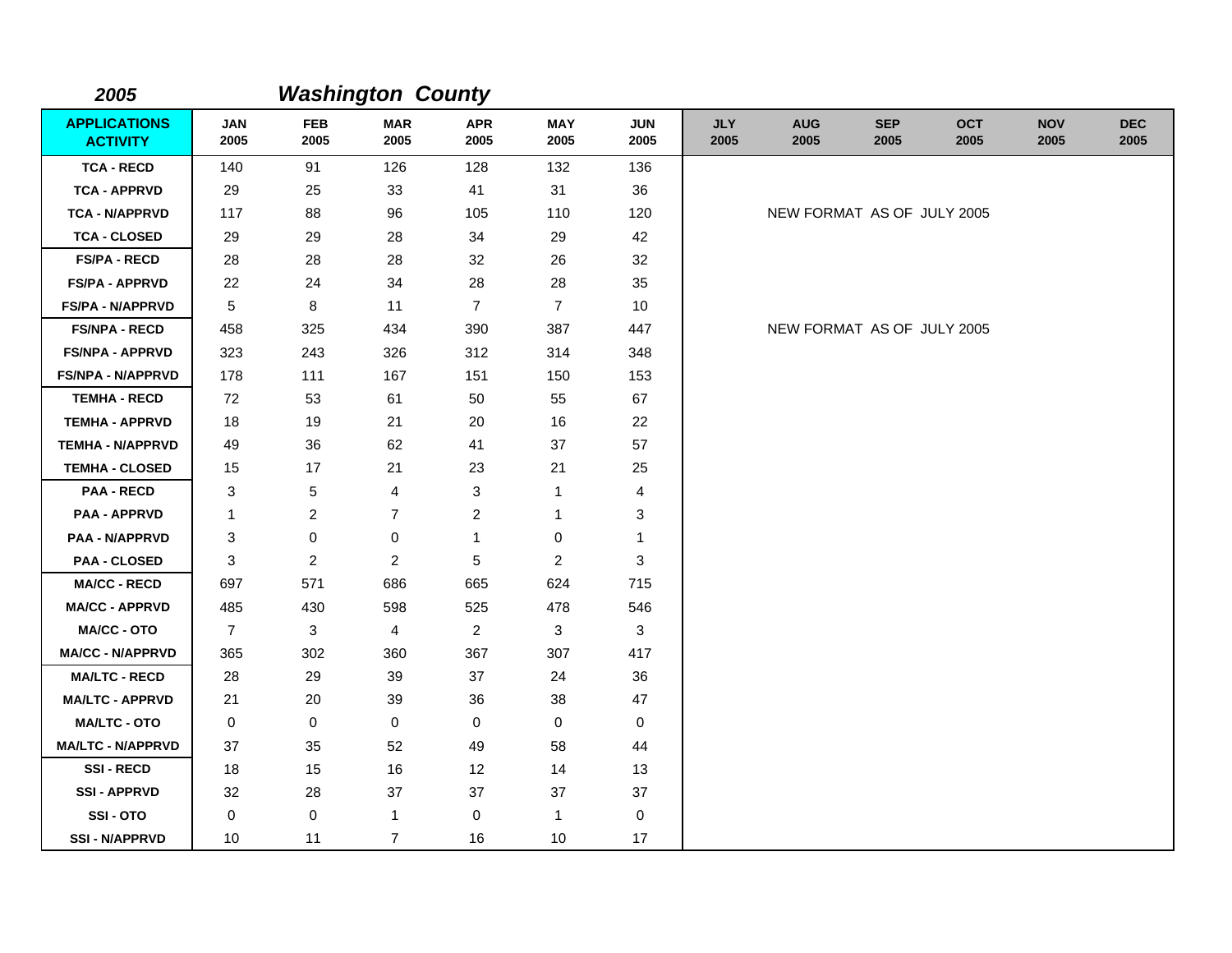| 2005                                   |                    |                    | <b>Washington County</b> |                    |                    |                    |                    |                            |                    |                    |                    |                    |
|----------------------------------------|--------------------|--------------------|--------------------------|--------------------|--------------------|--------------------|--------------------|----------------------------|--------------------|--------------------|--------------------|--------------------|
| <b>APPLICATIONS</b><br><b>ACTIVITY</b> | <b>JAN</b><br>2005 | <b>FEB</b><br>2005 | <b>MAR</b><br>2005       | <b>APR</b><br>2005 | <b>MAY</b><br>2005 | <b>JUN</b><br>2005 | <b>JLY</b><br>2005 | <b>AUG</b><br>2005         | <b>SEP</b><br>2005 | <b>OCT</b><br>2005 | <b>NOV</b><br>2005 | <b>DEC</b><br>2005 |
| <b>TCA - RECD</b>                      | 140                | 91                 | 126                      | 128                | 132                | 136                |                    |                            |                    |                    |                    |                    |
| <b>TCA - APPRVD</b>                    | 29                 | 25                 | 33                       | 41                 | 31                 | 36                 |                    |                            |                    |                    |                    |                    |
| <b>TCA - N/APPRVD</b>                  | 117                | 88                 | 96                       | 105                | 110                | 120                |                    | NEW FORMAT AS OF JULY 2005 |                    |                    |                    |                    |
| <b>TCA - CLOSED</b>                    | 29                 | 29                 | 28                       | 34                 | 29                 | 42                 |                    |                            |                    |                    |                    |                    |
| <b>FS/PA - RECD</b>                    | 28                 | 28                 | 28                       | 32                 | 26                 | 32                 |                    |                            |                    |                    |                    |                    |
| <b>FS/PA - APPRVD</b>                  | 22                 | 24                 | 34                       | 28                 | 28                 | 35                 |                    |                            |                    |                    |                    |                    |
| <b>FS/PA - N/APPRVD</b>                | 5                  | 8                  | 11                       | $\overline{7}$     | $\overline{7}$     | 10                 |                    |                            |                    |                    |                    |                    |
| <b>FS/NPA - RECD</b>                   | 458                | 325                | 434                      | 390                | 387                | 447                |                    | NEW FORMAT AS OF JULY 2005 |                    |                    |                    |                    |
| <b>FS/NPA - APPRVD</b>                 | 323                | 243                | 326                      | 312                | 314                | 348                |                    |                            |                    |                    |                    |                    |
| FS/NPA - N/APPRVD                      | 178                | 111                | 167                      | 151                | 150                | 153                |                    |                            |                    |                    |                    |                    |
| <b>TEMHA - RECD</b>                    | 72                 | 53                 | 61                       | 50                 | 55                 | 67                 |                    |                            |                    |                    |                    |                    |
| <b>TEMHA - APPRVD</b>                  | 18                 | 19                 | 21                       | 20                 | 16                 | 22                 |                    |                            |                    |                    |                    |                    |
| <b>TEMHA - N/APPRVD</b>                | 49                 | 36                 | 62                       | 41                 | 37                 | 57                 |                    |                            |                    |                    |                    |                    |
| <b>TEMHA - CLOSED</b>                  | 15                 | 17                 | 21                       | 23                 | 21                 | 25                 |                    |                            |                    |                    |                    |                    |
| <b>PAA - RECD</b>                      | 3                  | 5                  | 4                        | 3                  | $\mathbf{1}$       | 4                  |                    |                            |                    |                    |                    |                    |
| <b>PAA - APPRVD</b>                    | 1                  | $\overline{c}$     | $\overline{7}$           | $\overline{c}$     | $\mathbf{1}$       | 3                  |                    |                            |                    |                    |                    |                    |
| <b>PAA - N/APPRVD</b>                  | 3                  | 0                  | 0                        | $\mathbf{1}$       | 0                  | 1                  |                    |                            |                    |                    |                    |                    |
| <b>PAA - CLOSED</b>                    | 3                  | $\overline{2}$     | $\overline{c}$           | 5                  | $\overline{2}$     | 3                  |                    |                            |                    |                    |                    |                    |
| <b>MA/CC - RECD</b>                    | 697                | 571                | 686                      | 665                | 624                | 715                |                    |                            |                    |                    |                    |                    |
| <b>MA/CC - APPRVD</b>                  | 485                | 430                | 598                      | 525                | 478                | 546                |                    |                            |                    |                    |                    |                    |
| <b>MA/CC - OTO</b>                     | $\overline{7}$     | 3                  | 4                        | $\overline{2}$     | 3                  | 3                  |                    |                            |                    |                    |                    |                    |
| <b>MA/CC - N/APPRVD</b>                | 365                | 302                | 360                      | 367                | 307                | 417                |                    |                            |                    |                    |                    |                    |
| <b>MA/LTC - RECD</b>                   | 28                 | 29                 | 39                       | 37                 | 24                 | 36                 |                    |                            |                    |                    |                    |                    |
| <b>MA/LTC - APPRVD</b>                 | 21                 | 20                 | 39                       | 36                 | 38                 | 47                 |                    |                            |                    |                    |                    |                    |
| <b>MA/LTC - OTO</b>                    | 0                  | $\mathbf 0$        | 0                        | 0                  | $\pmb{0}$          | $\mathbf 0$        |                    |                            |                    |                    |                    |                    |
| <b>MA/LTC - N/APPRVD</b>               | 37                 | 35                 | 52                       | 49                 | 58                 | 44                 |                    |                            |                    |                    |                    |                    |
| <b>SSI-RECD</b>                        | 18                 | 15                 | 16                       | 12                 | 14                 | 13                 |                    |                            |                    |                    |                    |                    |
| <b>SSI - APPRVD</b>                    | 32                 | 28                 | 37                       | 37                 | 37                 | 37                 |                    |                            |                    |                    |                    |                    |
| SSI-OTO                                | 0                  | $\mathbf 0$        | $\mathbf{1}$             | 0                  | $\mathbf{1}$       | $\mathbf 0$        |                    |                            |                    |                    |                    |                    |
| <b>SSI - N/APPRVD</b>                  | 10                 | 11                 | $\overline{7}$           | 16                 | 10                 | 17                 |                    |                            |                    |                    |                    |                    |